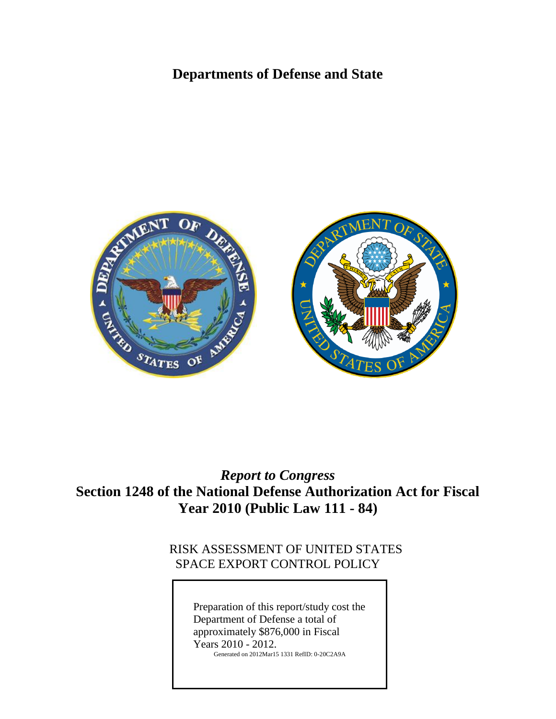# **Departments of Defense and State**



# *Report to Congress* **Section 1248 of the National Defense Authorization Act for Fiscal Year 2010 (Public Law 111 - 84)**

## RISK ASSESSMENT OF UNITED STATES SPACE EXPORT CONTROL POLICY

Preparation of this report/study cost the Department of Defense a total of approximately \$876,000 in Fiscal Years 2010 - 2012. Generated on 2012Mar15 1331 RefID: 0-20C2A9A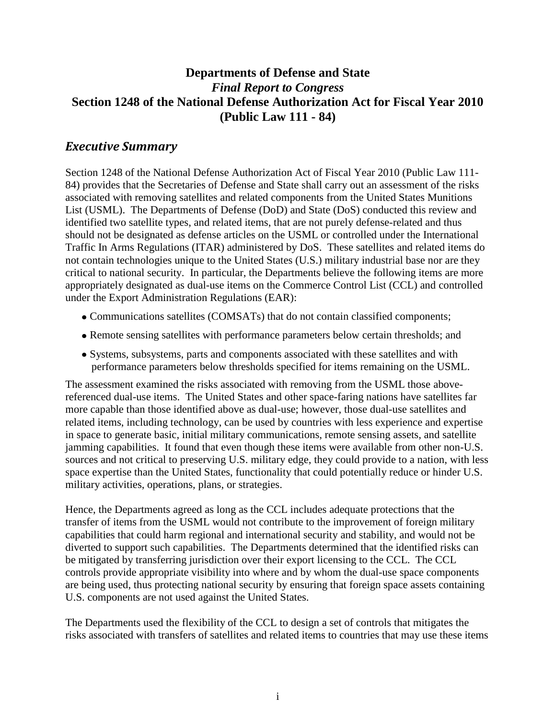## **Departments of Defense and State** *Final Report to Congress* **Section 1248 of the National Defense Authorization Act for Fiscal Year 2010 (Public Law 111 - 84)**

## *Executive Summary*

Section 1248 of the National Defense Authorization Act of Fiscal Year 2010 (Public Law 111- 84) provides that the Secretaries of Defense and State shall carry out an assessment of the risks associated with removing satellites and related components from the United States Munitions List (USML). The Departments of Defense (DoD) and State (DoS) conducted this review and identified two satellite types, and related items, that are not purely defense-related and thus should not be designated as defense articles on the USML or controlled under the International Traffic In Arms Regulations (ITAR) administered by DoS. These satellites and related items do not contain technologies unique to the United States (U.S.) military industrial base nor are they critical to national security. In particular, the Departments believe the following items are more appropriately designated as dual-use items on the Commerce Control List (CCL) and controlled under the Export Administration Regulations (EAR):

- Communications satellites (COMSATs) that do not contain classified components;
- Remote sensing satellites with performance parameters below certain thresholds; and
- Systems, subsystems, parts and components associated with these satellites and with performance parameters below thresholds specified for items remaining on the USML.

The assessment examined the risks associated with removing from the USML those abovereferenced dual-use items. The United States and other space-faring nations have satellites far more capable than those identified above as dual-use; however, those dual-use satellites and related items, including technology, can be used by countries with less experience and expertise in space to generate basic, initial military communications, remote sensing assets, and satellite jamming capabilities. It found that even though these items were available from other non-U.S. sources and not critical to preserving U.S. military edge, they could provide to a nation, with less space expertise than the United States, functionality that could potentially reduce or hinder U.S. military activities, operations, plans, or strategies.

Hence, the Departments agreed as long as the CCL includes adequate protections that the transfer of items from the USML would not contribute to the improvement of foreign military capabilities that could harm regional and international security and stability, and would not be diverted to support such capabilities. The Departments determined that the identified risks can be mitigated by transferring jurisdiction over their export licensing to the CCL. The CCL controls provide appropriate visibility into where and by whom the dual-use space components are being used, thus protecting national security by ensuring that foreign space assets containing U.S. components are not used against the United States.

The Departments used the flexibility of the CCL to design a set of controls that mitigates the risks associated with transfers of satellites and related items to countries that may use these items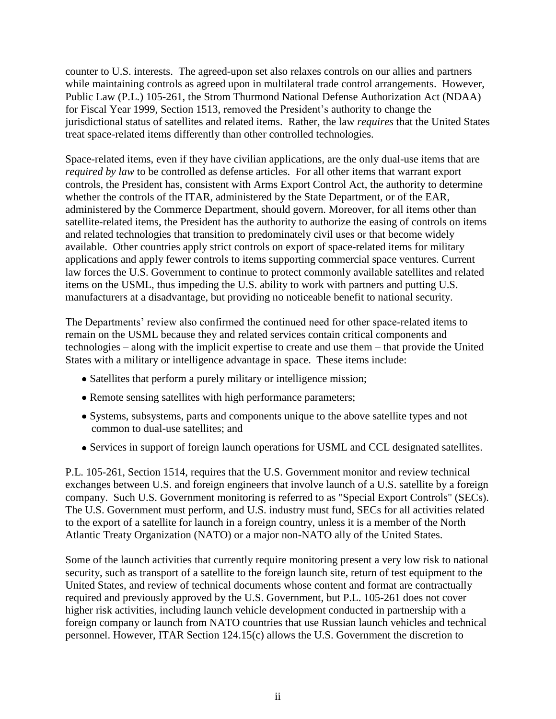counter to U.S. interests. The agreed-upon set also relaxes controls on our allies and partners while maintaining controls as agreed upon in multilateral trade control arrangements. However, Public Law (P.L.) 105-261, the Strom Thurmond National Defense Authorization Act (NDAA) for Fiscal Year 1999, Section 1513, removed the President's authority to change the jurisdictional status of satellites and related items. Rather, the law *requires* that the United States treat space-related items differently than other controlled technologies.

Space-related items, even if they have civilian applications, are the only dual-use items that are *required by law* to be controlled as defense articles. For all other items that warrant export controls, the President has, consistent with Arms Export Control Act, the authority to determine whether the controls of the ITAR, administered by the State Department, or of the EAR, administered by the Commerce Department, should govern. Moreover, for all items other than satellite-related items, the President has the authority to authorize the easing of controls on items and related technologies that transition to predominately civil uses or that become widely available. Other countries apply strict controls on export of space-related items for military applications and apply fewer controls to items supporting commercial space ventures. Current law forces the U.S. Government to continue to protect commonly available satellites and related items on the USML, thus impeding the U.S. ability to work with partners and putting U.S. manufacturers at a disadvantage, but providing no noticeable benefit to national security.

The Departments' review also confirmed the continued need for other space-related items to remain on the USML because they and related services contain critical components and technologies – along with the implicit expertise to create and use them – that provide the United States with a military or intelligence advantage in space. These items include:

- Satellites that perform a purely military or intelligence mission;
- Remote sensing satellites with high performance parameters;
- Systems, subsystems, parts and components unique to the above satellite types and not common to dual-use satellites; and
- Services in support of foreign launch operations for USML and CCL designated satellites.

P.L. 105-261, Section 1514, requires that the U.S. Government monitor and review technical exchanges between U.S. and foreign engineers that involve launch of a U.S. satellite by a foreign company. Such U.S. Government monitoring is referred to as "Special Export Controls" (SECs). The U.S. Government must perform, and U.S. industry must fund, SECs for all activities related to the export of a satellite for launch in a foreign country, unless it is a member of the North Atlantic Treaty Organization (NATO) or a major non-NATO ally of the United States.

Some of the launch activities that currently require monitoring present a very low risk to national security, such as transport of a satellite to the foreign launch site, return of test equipment to the United States, and review of technical documents whose content and format are contractually required and previously approved by the U.S. Government, but P.L. 105-261 does not cover higher risk activities, including launch vehicle development conducted in partnership with a foreign company or launch from NATO countries that use Russian launch vehicles and technical personnel. However, ITAR Section 124.15(c) allows the U.S. Government the discretion to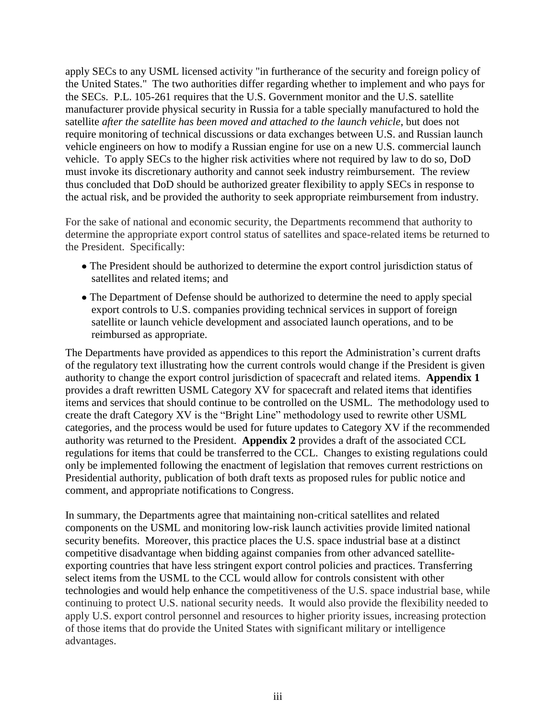apply SECs to any USML licensed activity "in furtherance of the security and foreign policy of the United States." The two authorities differ regarding whether to implement and who pays for the SECs. P.L. 105-261 requires that the U.S. Government monitor and the U.S. satellite manufacturer provide physical security in Russia for a table specially manufactured to hold the satellite *after the satellite has been moved and attached to the launch vehicle*, but does not require monitoring of technical discussions or data exchanges between U.S. and Russian launch vehicle engineers on how to modify a Russian engine for use on a new U.S. commercial launch vehicle. To apply SECs to the higher risk activities where not required by law to do so, DoD must invoke its discretionary authority and cannot seek industry reimbursement. The review thus concluded that DoD should be authorized greater flexibility to apply SECs in response to the actual risk, and be provided the authority to seek appropriate reimbursement from industry.

For the sake of national and economic security, the Departments recommend that authority to determine the appropriate export control status of satellites and space-related items be returned to the President. Specifically:

- The President should be authorized to determine the export control jurisdiction status of satellites and related items; and
- The Department of Defense should be authorized to determine the need to apply special export controls to U.S. companies providing technical services in support of foreign satellite or launch vehicle development and associated launch operations, and to be reimbursed as appropriate.

The Departments have provided as appendices to this report the Administration's current drafts of the regulatory text illustrating how the current controls would change if the President is given authority to change the export control jurisdiction of spacecraft and related items. **Appendix 1** provides a draft rewritten USML Category XV for spacecraft and related items that identifies items and services that should continue to be controlled on the USML. The methodology used to create the draft Category XV is the "Bright Line" methodology used to rewrite other USML categories, and the process would be used for future updates to Category XV if the recommended authority was returned to the President. **Appendix 2** provides a draft of the associated CCL regulations for items that could be transferred to the CCL. Changes to existing regulations could only be implemented following the enactment of legislation that removes current restrictions on Presidential authority, publication of both draft texts as proposed rules for public notice and comment, and appropriate notifications to Congress.

In summary, the Departments agree that maintaining non-critical satellites and related components on the USML and monitoring low-risk launch activities provide limited national security benefits. Moreover, this practice places the U.S. space industrial base at a distinct competitive disadvantage when bidding against companies from other advanced satelliteexporting countries that have less stringent export control policies and practices. Transferring select items from the USML to the CCL would allow for controls consistent with other technologies and would help enhance the competitiveness of the U.S. space industrial base, while continuing to protect U.S. national security needs. It would also provide the flexibility needed to apply U.S. export control personnel and resources to higher priority issues, increasing protection of those items that do provide the United States with significant military or intelligence advantages.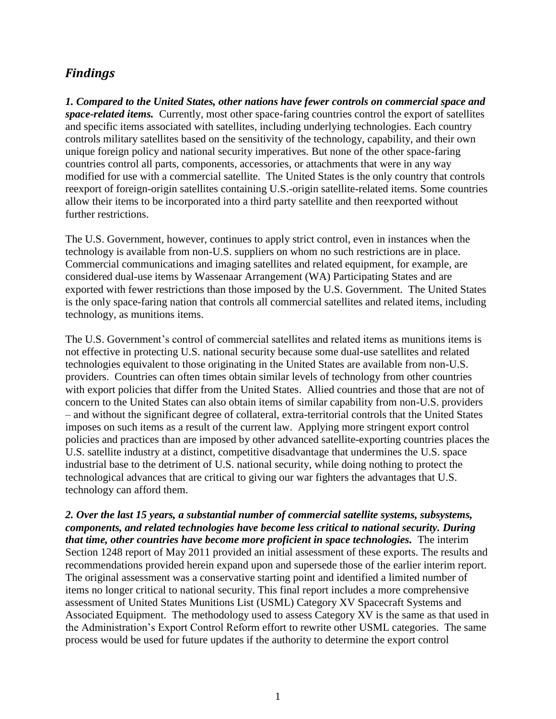## *Findings*

*1. Compared to the United States, other nations have fewer controls on commercial space and space-related items.* Currently, most other space-faring countries control the export of satellites and specific items associated with satellites, including underlying technologies. Each country controls military satellites based on the sensitivity of the technology, capability, and their own unique foreign policy and national security imperatives. But none of the other space-faring countries control all parts, components, accessories, or attachments that were in any way modified for use with a commercial satellite. The United States is the only country that controls reexport of foreign-origin satellites containing U.S.-origin satellite-related items. Some countries allow their items to be incorporated into a third party satellite and then reexported without further restrictions.

The U.S. Government, however, continues to apply strict control, even in instances when the technology is available from non-U.S. suppliers on whom no such restrictions are in place. Commercial communications and imaging satellites and related equipment, for example, are considered dual-use items by Wassenaar Arrangement (WA) Participating States and are exported with fewer restrictions than those imposed by the U.S. Government. The United States is the only space-faring nation that controls all commercial satellites and related items, including technology, as munitions items.

The U.S. Government's control of commercial satellites and related items as munitions items is not effective in protecting U.S. national security because some dual-use satellites and related technologies equivalent to those originating in the United States are available from non-U.S. providers. Countries can often times obtain similar levels of technology from other countries with export policies that differ from the United States. Allied countries and those that are not of concern to the United States can also obtain items of similar capability from non-U.S. providers – and without the significant degree of collateral, extra-territorial controls that the United States imposes on such items as a result of the current law. Applying more stringent export control policies and practices than are imposed by other advanced satellite-exporting countries places the U.S. satellite industry at a distinct, competitive disadvantage that undermines the U.S. space industrial base to the detriment of U.S. national security, while doing nothing to protect the technological advances that are critical to giving our war fighters the advantages that U.S. technology can afford them.

#### *2. Over the last 15 years, a substantial number of commercial satellite systems, subsystems, components, and related technologies have become less critical to national security. During that time, other countries have become more proficient in space technologies.* The interim

Section 1248 report of May 2011 provided an initial assessment of these exports. The results and recommendations provided herein expand upon and supersede those of the earlier interim report. The original assessment was a conservative starting point and identified a limited number of items no longer critical to national security. This final report includes a more comprehensive assessment of United States Munitions List (USML) Category XV Spacecraft Systems and Associated Equipment. The methodology used to assess Category XV is the same as that used in the Administration's Export Control Reform effort to rewrite other USML categories. The same process would be used for future updates if the authority to determine the export control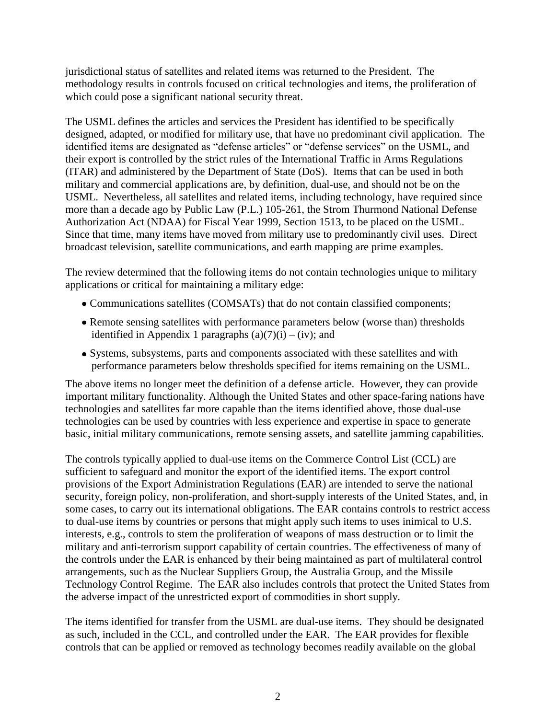jurisdictional status of satellites and related items was returned to the President. The methodology results in controls focused on critical technologies and items, the proliferation of which could pose a significant national security threat.

The USML defines the articles and services the President has identified to be specifically designed, adapted, or modified for military use, that have no predominant civil application. The identified items are designated as "defense articles" or "defense services" on the USML, and their export is controlled by the strict rules of the International Traffic in Arms Regulations (ITAR) and administered by the Department of State (DoS). Items that can be used in both military and commercial applications are, by definition, dual-use, and should not be on the USML. Nevertheless, all satellites and related items, including technology, have required since more than a decade ago by Public Law (P.L.) 105-261, the Strom Thurmond National Defense Authorization Act (NDAA) for Fiscal Year 1999, Section 1513, to be placed on the USML. Since that time, many items have moved from military use to predominantly civil uses. Direct broadcast television, satellite communications, and earth mapping are prime examples.

The review determined that the following items do not contain technologies unique to military applications or critical for maintaining a military edge:

- Communications satellites (COMSATs) that do not contain classified components;
- Remote sensing satellites with performance parameters below (worse than) thresholds identified in Appendix 1 paragraphs  $(a)(7)(i) - (iv)$ ; and
- Systems, subsystems, parts and components associated with these satellites and with performance parameters below thresholds specified for items remaining on the USML.

The above items no longer meet the definition of a defense article. However, they can provide important military functionality. Although the United States and other space-faring nations have technologies and satellites far more capable than the items identified above, those dual-use technologies can be used by countries with less experience and expertise in space to generate basic, initial military communications, remote sensing assets, and satellite jamming capabilities.

The controls typically applied to dual-use items on the Commerce Control List (CCL) are sufficient to safeguard and monitor the export of the identified items. The export control provisions of the Export Administration Regulations (EAR) are intended to serve the national security, foreign policy, non-proliferation, and short-supply interests of the United States, and, in some cases, to carry out its international obligations. The EAR contains controls to restrict access to dual-use items by countries or persons that might apply such items to uses inimical to U.S. interests, e.g., controls to stem the proliferation of weapons of mass destruction or to limit the military and anti-terrorism support capability of certain countries. The effectiveness of many of the controls under the EAR is enhanced by their being maintained as part of multilateral control arrangements, such as the Nuclear Suppliers Group, the Australia Group, and the Missile Technology Control Regime. The EAR also includes controls that protect the United States from the adverse impact of the unrestricted export of commodities in short supply.

The items identified for transfer from the USML are dual-use items. They should be designated as such, included in the CCL, and controlled under the EAR. The EAR provides for flexible controls that can be applied or removed as technology becomes readily available on the global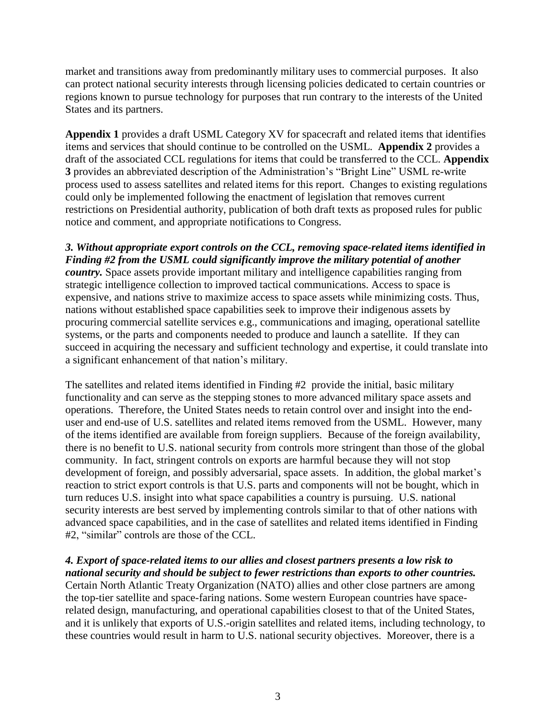market and transitions away from predominantly military uses to commercial purposes. It also can protect national security interests through licensing policies dedicated to certain countries or regions known to pursue technology for purposes that run contrary to the interests of the United States and its partners.

**Appendix 1** provides a draft USML Category XV for spacecraft and related items that identifies items and services that should continue to be controlled on the USML. **Appendix 2** provides a draft of the associated CCL regulations for items that could be transferred to the CCL. **Appendix 3** provides an abbreviated description of the Administration's "Bright Line" USML re-write process used to assess satellites and related items for this report. Changes to existing regulations could only be implemented following the enactment of legislation that removes current restrictions on Presidential authority, publication of both draft texts as proposed rules for public notice and comment, and appropriate notifications to Congress.

*3. Without appropriate export controls on the CCL, removing space-related items identified in Finding #2 from the USML could significantly improve the military potential of another country*. Space assets provide important military and intelligence capabilities ranging from strategic intelligence collection to improved tactical communications. Access to space is expensive, and nations strive to maximize access to space assets while minimizing costs. Thus, nations without established space capabilities seek to improve their indigenous assets by procuring commercial satellite services e.g., communications and imaging, operational satellite systems, or the parts and components needed to produce and launch a satellite. If they can succeed in acquiring the necessary and sufficient technology and expertise, it could translate into a significant enhancement of that nation's military.

The satellites and related items identified in Finding #2 provide the initial, basic military functionality and can serve as the stepping stones to more advanced military space assets and operations. Therefore, the United States needs to retain control over and insight into the enduser and end-use of U.S. satellites and related items removed from the USML. However, many of the items identified are available from foreign suppliers. Because of the foreign availability, there is no benefit to U.S. national security from controls more stringent than those of the global community. In fact, stringent controls on exports are harmful because they will not stop development of foreign, and possibly adversarial, space assets. In addition, the global market's reaction to strict export controls is that U.S. parts and components will not be bought, which in turn reduces U.S. insight into what space capabilities a country is pursuing. U.S. national security interests are best served by implementing controls similar to that of other nations with advanced space capabilities, and in the case of satellites and related items identified in Finding #2, "similar" controls are those of the CCL.

#### *4. Export of space-related items to our allies and closest partners presents a low risk to national security and should be subject to fewer restrictions than exports to other countries.*

Certain North Atlantic Treaty Organization (NATO) allies and other close partners are among the top-tier satellite and space-faring nations. Some western European countries have spacerelated design, manufacturing, and operational capabilities closest to that of the United States, and it is unlikely that exports of U.S.-origin satellites and related items, including technology, to these countries would result in harm to U.S. national security objectives. Moreover, there is a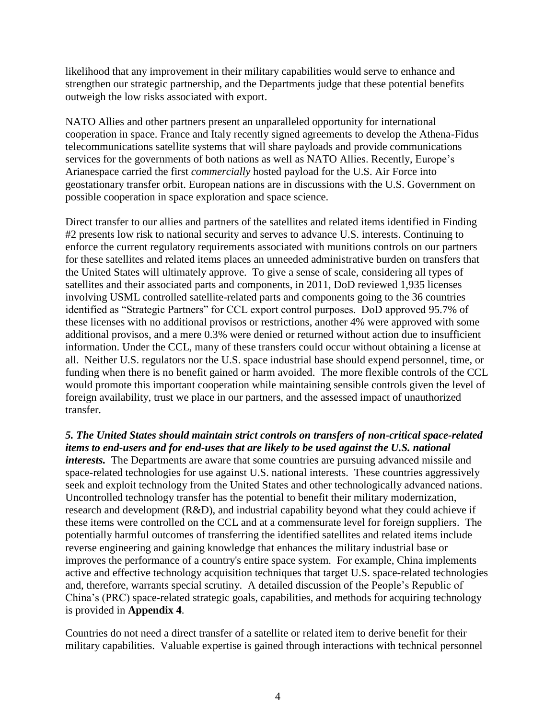likelihood that any improvement in their military capabilities would serve to enhance and strengthen our strategic partnership, and the Departments judge that these potential benefits outweigh the low risks associated with export.

NATO Allies and other partners present an unparalleled opportunity for international cooperation in space. France and Italy recently signed agreements to develop the Athena-Fidus telecommunications satellite systems that will share payloads and provide communications services for the governments of both nations as well as NATO Allies. Recently, Europe's Arianespace carried the first *commercially* hosted payload for the U.S. Air Force into geostationary transfer orbit. European nations are in discussions with the U.S. Government on possible cooperation in space exploration and space science.

Direct transfer to our allies and partners of the satellites and related items identified in Finding #2 presents low risk to national security and serves to advance U.S. interests. Continuing to enforce the current regulatory requirements associated with munitions controls on our partners for these satellites and related items places an unneeded administrative burden on transfers that the United States will ultimately approve. To give a sense of scale, considering all types of satellites and their associated parts and components, in 2011, DoD reviewed 1,935 licenses involving USML controlled satellite-related parts and components going to the 36 countries identified as "Strategic Partners" for CCL export control purposes. DoD approved 95.7% of these licenses with no additional provisos or restrictions, another 4% were approved with some additional provisos, and a mere 0.3% were denied or returned without action due to insufficient information. Under the CCL, many of these transfers could occur without obtaining a license at all. Neither U.S. regulators nor the U.S. space industrial base should expend personnel, time, or funding when there is no benefit gained or harm avoided. The more flexible controls of the CCL would promote this important cooperation while maintaining sensible controls given the level of foreign availability, trust we place in our partners, and the assessed impact of unauthorized transfer.

*5. The United States should maintain strict controls on transfers of non-critical space-related items to end-users and for end-uses that are likely to be used against the U.S. national interests.* The Departments are aware that some countries are pursuing advanced missile and space-related technologies for use against U.S. national interests. These countries aggressively seek and exploit technology from the United States and other technologically advanced nations. Uncontrolled technology transfer has the potential to benefit their military modernization, research and development (R&D), and industrial capability beyond what they could achieve if these items were controlled on the CCL and at a commensurate level for foreign suppliers. The potentially harmful outcomes of transferring the identified satellites and related items include reverse engineering and gaining knowledge that enhances the military industrial base or improves the performance of a country's entire space system. For example, China implements active and effective technology acquisition techniques that target U.S. space-related technologies and, therefore, warrants special scrutiny. A detailed discussion of the People's Republic of China's (PRC) space-related strategic goals, capabilities, and methods for acquiring technology is provided in **Appendix 4**.

Countries do not need a direct transfer of a satellite or related item to derive benefit for their military capabilities. Valuable expertise is gained through interactions with technical personnel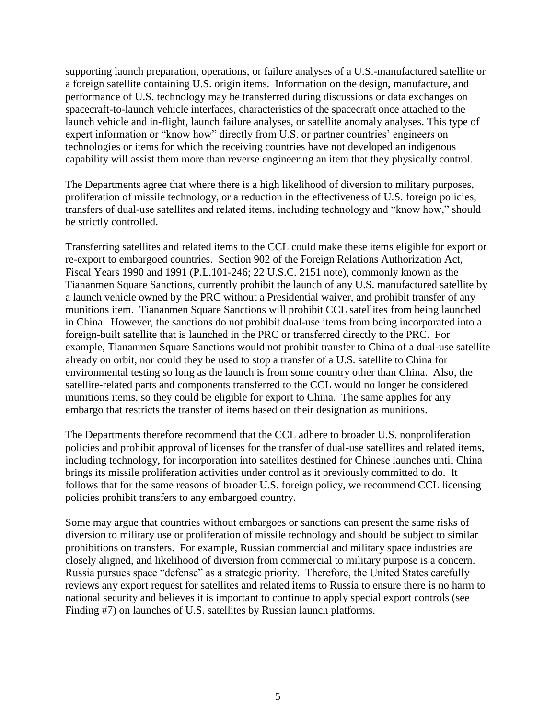supporting launch preparation, operations, or failure analyses of a U.S.-manufactured satellite or a foreign satellite containing U.S. origin items. Information on the design, manufacture, and performance of U.S. technology may be transferred during discussions or data exchanges on spacecraft-to-launch vehicle interfaces, characteristics of the spacecraft once attached to the launch vehicle and in-flight, launch failure analyses, or satellite anomaly analyses. This type of expert information or "know how" directly from U.S. or partner countries' engineers on technologies or items for which the receiving countries have not developed an indigenous capability will assist them more than reverse engineering an item that they physically control.

The Departments agree that where there is a high likelihood of diversion to military purposes, proliferation of missile technology, or a reduction in the effectiveness of U.S. foreign policies, transfers of dual-use satellites and related items, including technology and "know how," should be strictly controlled.

Transferring satellites and related items to the CCL could make these items eligible for export or re-export to embargoed countries. Section 902 of the Foreign Relations Authorization Act, Fiscal Years 1990 and 1991 (P.L.101-246; 22 U.S.C. 2151 note), commonly known as the Tiananmen Square Sanctions, currently prohibit the launch of any U.S. manufactured satellite by a launch vehicle owned by the PRC without a Presidential waiver, and prohibit transfer of any munitions item. Tiananmen Square Sanctions will prohibit CCL satellites from being launched in China. However, the sanctions do not prohibit dual-use items from being incorporated into a foreign-built satellite that is launched in the PRC or transferred directly to the PRC. For example, Tiananmen Square Sanctions would not prohibit transfer to China of a dual-use satellite already on orbit, nor could they be used to stop a transfer of a U.S. satellite to China for environmental testing so long as the launch is from some country other than China. Also, the satellite-related parts and components transferred to the CCL would no longer be considered munitions items, so they could be eligible for export to China. The same applies for any embargo that restricts the transfer of items based on their designation as munitions.

The Departments therefore recommend that the CCL adhere to broader U.S. nonproliferation policies and prohibit approval of licenses for the transfer of dual-use satellites and related items, including technology, for incorporation into satellites destined for Chinese launches until China brings its missile proliferation activities under control as it previously committed to do. It follows that for the same reasons of broader U.S. foreign policy, we recommend CCL licensing policies prohibit transfers to any embargoed country.

Some may argue that countries without embargoes or sanctions can present the same risks of diversion to military use or proliferation of missile technology and should be subject to similar prohibitions on transfers. For example, Russian commercial and military space industries are closely aligned, and likelihood of diversion from commercial to military purpose is a concern. Russia pursues space "defense" as a strategic priority. Therefore, the United States carefully reviews any export request for satellites and related items to Russia to ensure there is no harm to national security and believes it is important to continue to apply special export controls (see Finding #7) on launches of U.S. satellites by Russian launch platforms.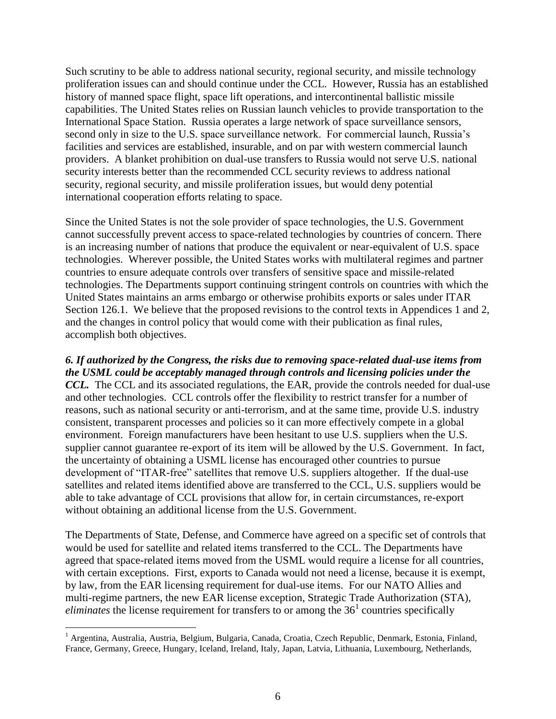Such scrutiny to be able to address national security, regional security, and missile technology proliferation issues can and should continue under the CCL. However, Russia has an established history of manned space flight, space lift operations, and intercontinental ballistic missile capabilities. The United States relies on Russian launch vehicles to provide transportation to the International Space Station. Russia operates a large network of space surveillance sensors, second only in size to the U.S. space surveillance network. For commercial launch, Russia's facilities and services are established, insurable, and on par with western commercial launch providers. A blanket prohibition on dual-use transfers to Russia would not serve U.S. national security interests better than the recommended CCL security reviews to address national security, regional security, and missile proliferation issues, but would deny potential international cooperation efforts relating to space.

Since the United States is not the sole provider of space technologies, the U.S. Government cannot successfully prevent access to space-related technologies by countries of concern. There is an increasing number of nations that produce the equivalent or near-equivalent of U.S. space technologies. Wherever possible, the United States works with multilateral regimes and partner countries to ensure adequate controls over transfers of sensitive space and missile-related technologies. The Departments support continuing stringent controls on countries with which the United States maintains an arms embargo or otherwise prohibits exports or sales under ITAR Section 126.1. We believe that the proposed revisions to the control texts in Appendices 1 and 2, and the changes in control policy that would come with their publication as final rules, accomplish both objectives.

*6. If authorized by the Congress, the risks due to removing space-related dual-use items from the USML could be acceptably managed through controls and licensing policies under the CCL.* The CCL and its associated regulations, the EAR, provide the controls needed for dual-use and other technologies. CCL controls offer the flexibility to restrict transfer for a number of reasons, such as national security or anti-terrorism, and at the same time, provide U.S. industry consistent, transparent processes and policies so it can more effectively compete in a global environment. Foreign manufacturers have been hesitant to use U.S. suppliers when the U.S. supplier cannot guarantee re-export of its item will be allowed by the U.S. Government. In fact, the uncertainty of obtaining a USML license has encouraged other countries to pursue development of "ITAR-free" satellites that remove U.S. suppliers altogether. If the dual-use satellites and related items identified above are transferred to the CCL, U.S. suppliers would be able to take advantage of CCL provisions that allow for, in certain circumstances, re-export without obtaining an additional license from the U.S. Government.

The Departments of State, Defense, and Commerce have agreed on a specific set of controls that would be used for satellite and related items transferred to the CCL. The Departments have agreed that space-related items moved from the USML would require a license for all countries, with certain exceptions. First, exports to Canada would not need a license, because it is exempt, by law, from the EAR licensing requirement for dual-use items. For our NATO Allies and multi-regime partners, the new EAR license exception, Strategic Trade Authorization (STA),  $eliminates$  the license requirement for transfers to or among the  $36<sup>1</sup>$  countries specifically

 $\overline{a}$ 

<sup>&</sup>lt;sup>1</sup> Argentina, Australia, Austria, Belgium, Bulgaria, Canada, Croatia, Czech Republic, Denmark, Estonia, Finland, France, Germany, Greece, Hungary, Iceland, Ireland, Italy, Japan, Latvia, Lithuania, Luxembourg, Netherlands,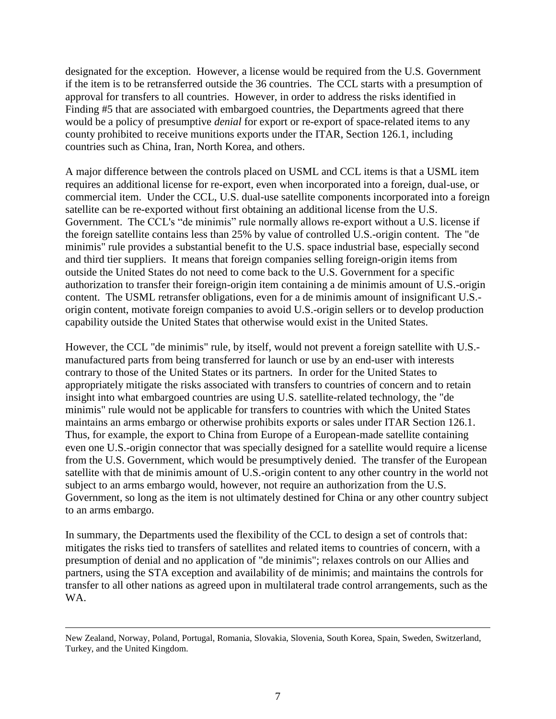designated for the exception. However, a license would be required from the U.S. Government if the item is to be retransferred outside the 36 countries. The CCL starts with a presumption of approval for transfers to all countries. However, in order to address the risks identified in Finding #5 that are associated with embargoed countries, the Departments agreed that there would be a policy of presumptive *denial* for export or re-export of space-related items to any county prohibited to receive munitions exports under the ITAR, Section 126.1, including countries such as China, Iran, North Korea, and others.

A major difference between the controls placed on USML and CCL items is that a USML item requires an additional license for re-export, even when incorporated into a foreign, dual-use, or commercial item. Under the CCL, U.S. dual-use satellite components incorporated into a foreign satellite can be re-exported without first obtaining an additional license from the U.S. Government. The CCL's "de minimis" rule normally allows re-export without a U.S. license if the foreign satellite contains less than 25% by value of controlled U.S.-origin content. The "de minimis" rule provides a substantial benefit to the U.S. space industrial base, especially second and third tier suppliers. It means that foreign companies selling foreign-origin items from outside the United States do not need to come back to the U.S. Government for a specific authorization to transfer their foreign-origin item containing a de minimis amount of U.S.-origin content. The USML retransfer obligations, even for a de minimis amount of insignificant U.S. origin content, motivate foreign companies to avoid U.S.-origin sellers or to develop production capability outside the United States that otherwise would exist in the United States.

However, the CCL "de minimis" rule, by itself, would not prevent a foreign satellite with U.S. manufactured parts from being transferred for launch or use by an end-user with interests contrary to those of the United States or its partners. In order for the United States to appropriately mitigate the risks associated with transfers to countries of concern and to retain insight into what embargoed countries are using U.S. satellite-related technology, the "de minimis" rule would not be applicable for transfers to countries with which the United States maintains an arms embargo or otherwise prohibits exports or sales under ITAR Section 126.1. Thus, for example, the export to China from Europe of a European-made satellite containing even one U.S.-origin connector that was specially designed for a satellite would require a license from the U.S. Government, which would be presumptively denied. The transfer of the European satellite with that de minimis amount of U.S.-origin content to any other country in the world not subject to an arms embargo would, however, not require an authorization from the U.S. Government, so long as the item is not ultimately destined for China or any other country subject to an arms embargo.

In summary, the Departments used the flexibility of the CCL to design a set of controls that: mitigates the risks tied to transfers of satellites and related items to countries of concern, with a presumption of denial and no application of "de minimis"; relaxes controls on our Allies and partners, using the STA exception and availability of de minimis; and maintains the controls for transfer to all other nations as agreed upon in multilateral trade control arrangements, such as the WA.

 $\overline{a}$ 

New Zealand, Norway, Poland, Portugal, Romania, Slovakia, Slovenia, South Korea, Spain, Sweden, Switzerland, Turkey, and the United Kingdom.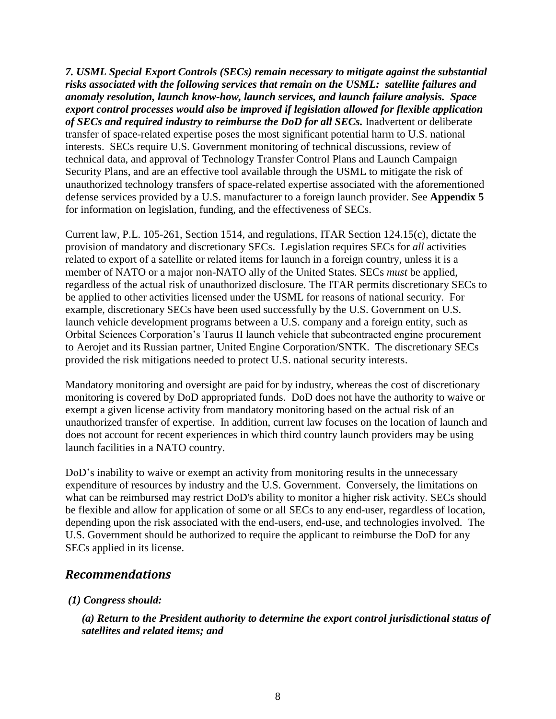*7. USML Special Export Controls (SECs) remain necessary to mitigate against the substantial risks associated with the following services that remain on the USML: satellite failures and anomaly resolution, launch know-how, launch services, and launch failure analysis. Space export control processes would also be improved if legislation allowed for flexible application of SECs and required industry to reimburse the DoD for all SECs.* Inadvertent or deliberate transfer of space-related expertise poses the most significant potential harm to U.S. national interests. SECs require U.S. Government monitoring of technical discussions, review of technical data, and approval of Technology Transfer Control Plans and Launch Campaign Security Plans, and are an effective tool available through the USML to mitigate the risk of unauthorized technology transfers of space-related expertise associated with the aforementioned defense services provided by a U.S. manufacturer to a foreign launch provider. See **Appendix 5** for information on legislation, funding, and the effectiveness of SECs.

Current law, P.L. 105-261, Section 1514, and regulations, ITAR Section 124.15(c), dictate the provision of mandatory and discretionary SECs. Legislation requires SECs for *all* activities related to export of a satellite or related items for launch in a foreign country, unless it is a member of NATO or a major non-NATO ally of the United States. SECs *must* be applied, regardless of the actual risk of unauthorized disclosure. The ITAR permits discretionary SECs to be applied to other activities licensed under the USML for reasons of national security. For example, discretionary SECs have been used successfully by the U.S. Government on U.S. launch vehicle development programs between a U.S. company and a foreign entity, such as Orbital Sciences Corporation's Taurus II launch vehicle that subcontracted engine procurement to Aerojet and its Russian partner, United Engine Corporation/SNTK. The discretionary SECs provided the risk mitigations needed to protect U.S. national security interests.

Mandatory monitoring and oversight are paid for by industry, whereas the cost of discretionary monitoring is covered by DoD appropriated funds. DoD does not have the authority to waive or exempt a given license activity from mandatory monitoring based on the actual risk of an unauthorized transfer of expertise. In addition, current law focuses on the location of launch and does not account for recent experiences in which third country launch providers may be using launch facilities in a NATO country.

DoD's inability to waive or exempt an activity from monitoring results in the unnecessary expenditure of resources by industry and the U.S. Government. Conversely, the limitations on what can be reimbursed may restrict DoD's ability to monitor a higher risk activity. SECs should be flexible and allow for application of some or all SECs to any end-user, regardless of location, depending upon the risk associated with the end-users, end-use, and technologies involved. The U.S. Government should be authorized to require the applicant to reimburse the DoD for any SECs applied in its license.

### *Recommendations*

### *(1) Congress should:*

*(a) Return to the President authority to determine the export control jurisdictional status of satellites and related items; and*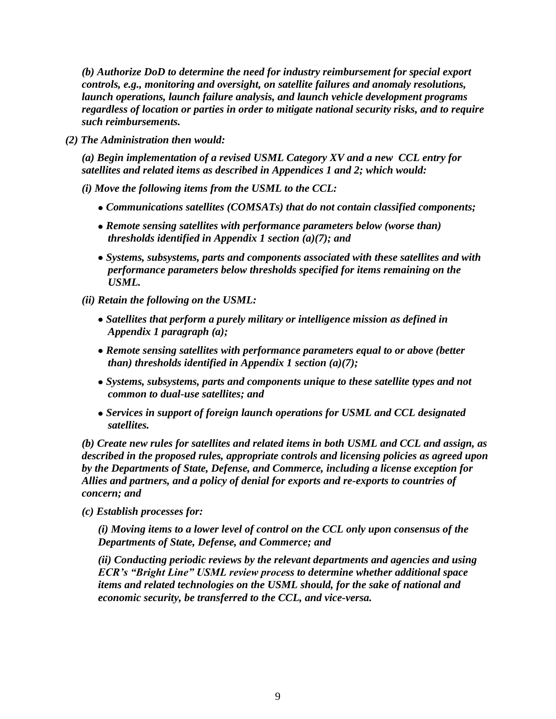*(b) Authorize DoD to determine the need for industry reimbursement for special export controls, e.g., monitoring and oversight, on satellite failures and anomaly resolutions, launch operations, launch failure analysis, and launch vehicle development programs regardless of location or parties in order to mitigate national security risks, and to require such reimbursements.* 

*(2) The Administration then would:*

*(a) Begin implementation of a revised USML Category XV and a new CCL entry for satellites and related items as described in Appendices 1 and 2; which would:*

- *(i) Move the following items from the USML to the CCL:*
	- *Communications satellites (COMSATs) that do not contain classified components;*
	- *Remote sensing satellites with performance parameters below (worse than) thresholds identified in Appendix 1 section (a)(7); and*
	- *Systems, subsystems, parts and components associated with these satellites and with performance parameters below thresholds specified for items remaining on the USML.*
- *(ii) Retain the following on the USML:*
	- *Satellites that perform a purely military or intelligence mission as defined in Appendix 1 paragraph (a);*
	- *Remote sensing satellites with performance parameters equal to or above (better than) thresholds identified in Appendix 1 section (a)(7);*
	- *Systems, subsystems, parts and components unique to these satellite types and not common to dual-use satellites; and*
	- *Services in support of foreign launch operations for USML and CCL designated satellites.*

*(b) Create new rules for satellites and related items in both USML and CCL and assign, as described in the proposed rules, appropriate controls and licensing policies as agreed upon by the Departments of State, Defense, and Commerce, including a license exception for Allies and partners, and a policy of denial for exports and re-exports to countries of concern; and*

*(c) Establish processes for:* 

*(i) Moving items to a lower level of control on the CCL only upon consensus of the Departments of State, Defense, and Commerce; and*

*(ii) Conducting periodic reviews by the relevant departments and agencies and using ECR's "Bright Line" USML review process to determine whether additional space items and related technologies on the USML should, for the sake of national and economic security, be transferred to the CCL, and vice-versa.*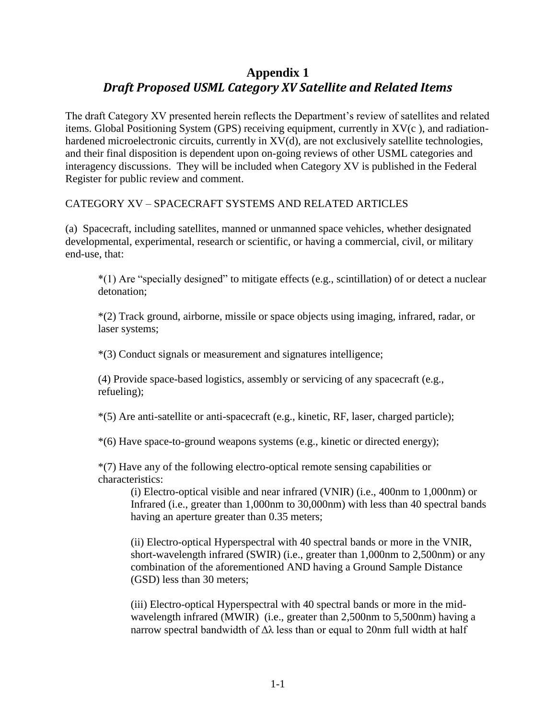## **Appendix 1** *Draft Proposed USML Category XV Satellite and Related Items*

The draft Category XV presented herein reflects the Department's review of satellites and related items. Global Positioning System (GPS) receiving equipment, currently in XV(c ), and radiationhardened microelectronic circuits, currently in XV(d), are not exclusively satellite technologies, and their final disposition is dependent upon on-going reviews of other USML categories and interagency discussions. They will be included when Category XV is published in the Federal Register for public review and comment.

CATEGORY XV – SPACECRAFT SYSTEMS AND RELATED ARTICLES

(a) Spacecraft, including satellites, manned or unmanned space vehicles, whether designated developmental, experimental, research or scientific, or having a commercial, civil, or military end-use, that:

\*(1) Are "specially designed" to mitigate effects (e.g., scintillation) of or detect a nuclear detonation;

\*(2) Track ground, airborne, missile or space objects using imaging, infrared, radar, or laser systems;

\*(3) Conduct signals or measurement and signatures intelligence;

(4) Provide space-based logistics, assembly or servicing of any spacecraft (e.g., refueling);

\*(5) Are anti-satellite or anti-spacecraft (e.g., kinetic, RF, laser, charged particle);

\*(6) Have space-to-ground weapons systems (e.g., kinetic or directed energy);

\*(7) Have any of the following electro-optical remote sensing capabilities or characteristics:

(i) Electro-optical visible and near infrared (VNIR) (i.e., 400nm to 1,000nm) or Infrared (i.e., greater than 1,000nm to 30,000nm) with less than 40 spectral bands having an aperture greater than 0.35 meters;

(ii) Electro-optical Hyperspectral with 40 spectral bands or more in the VNIR, short-wavelength infrared (SWIR) (i.e., greater than 1,000nm to 2,500nm) or any combination of the aforementioned AND having a Ground Sample Distance (GSD) less than 30 meters;

(iii) Electro-optical Hyperspectral with 40 spectral bands or more in the midwavelength infrared (MWIR) (i.e., greater than 2,500nm to 5,500nm) having a narrow spectral bandwidth of  $\Delta\lambda$  less than or equal to 20nm full width at half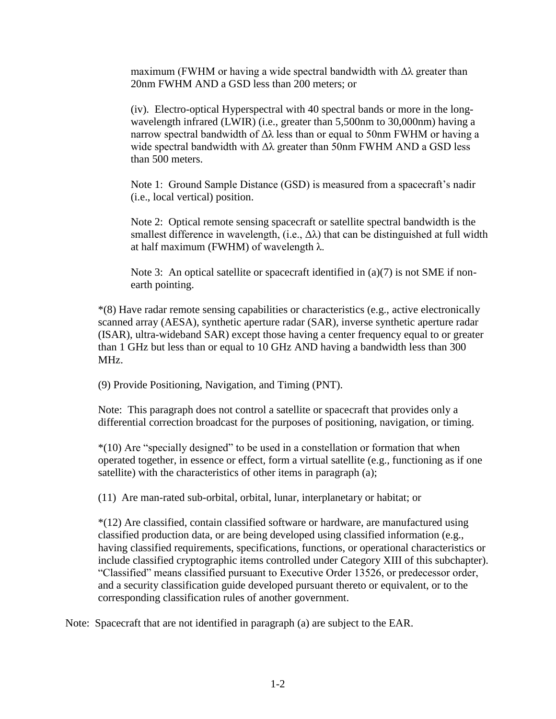maximum (FWHM or having a wide spectral bandwidth with  $\Delta\lambda$  greater than 20nm FWHM AND a GSD less than 200 meters; or

(iv). Electro-optical Hyperspectral with 40 spectral bands or more in the longwavelength infrared (LWIR) (i.e., greater than 5,500nm to 30,000nm) having a narrow spectral bandwidth of Δλ less than or equal to 50nm FWHM or having a wide spectral bandwidth with Δλ greater than 50nm FWHM AND a GSD less than 500 meters.

Note 1: Ground Sample Distance (GSD) is measured from a spacecraft's nadir (i.e., local vertical) position.

Note 2: Optical remote sensing spacecraft or satellite spectral bandwidth is the smallest difference in wavelength, (i.e.,  $\Delta\lambda$ ) that can be distinguished at full width at half maximum (FWHM) of wavelength  $λ$ .

Note 3: An optical satellite or spacecraft identified in (a)(7) is not SME if nonearth pointing.

\*(8) Have radar remote sensing capabilities or characteristics (e.g., active electronically scanned array (AESA), synthetic aperture radar (SAR), inverse synthetic aperture radar (ISAR), ultra-wideband SAR) except those having a center frequency equal to or greater than 1 GHz but less than or equal to 10 GHz AND having a bandwidth less than 300 MHz.

(9) Provide Positioning, Navigation, and Timing (PNT).

Note: This paragraph does not control a satellite or spacecraft that provides only a differential correction broadcast for the purposes of positioning, navigation, or timing.

\*(10) Are "specially designed" to be used in a constellation or formation that when operated together, in essence or effect, form a virtual satellite (e.g., functioning as if one satellite) with the characteristics of other items in paragraph (a);

(11) Are man-rated sub-orbital, orbital, lunar, interplanetary or habitat; or

\*(12) Are classified, contain classified software or hardware, are manufactured using classified production data, or are being developed using classified information (e.g., having classified requirements, specifications, functions, or operational characteristics or include classified cryptographic items controlled under Category XIII of this subchapter). "Classified" means classified pursuant to Executive Order 13526, or predecessor order, and a security classification guide developed pursuant thereto or equivalent, or to the corresponding classification rules of another government.

Note: Spacecraft that are not identified in paragraph (a) are subject to the EAR.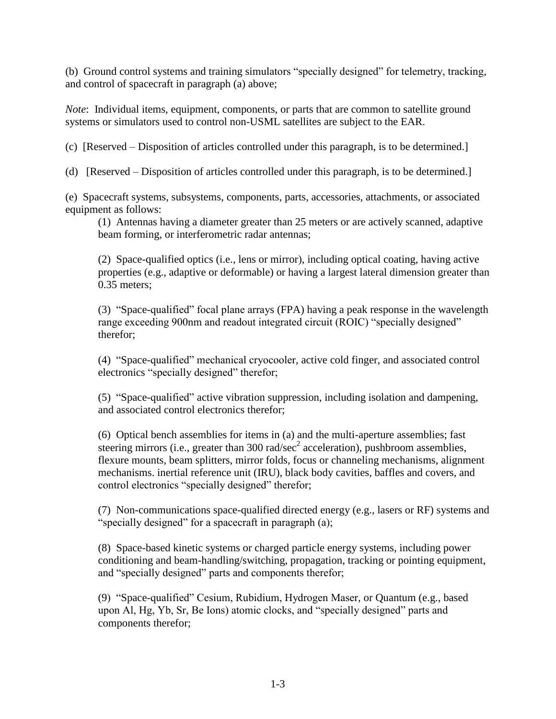(b) Ground control systems and training simulators "specially designed" for telemetry, tracking, and control of spacecraft in paragraph (a) above;

*Note*: Individual items, equipment, components, or parts that are common to satellite ground systems or simulators used to control non-USML satellites are subject to the EAR.

(c) [Reserved – Disposition of articles controlled under this paragraph, is to be determined.]

(d) [Reserved – Disposition of articles controlled under this paragraph, is to be determined.]

(e) Spacecraft systems, subsystems, components, parts, accessories, attachments, or associated equipment as follows:

(1) Antennas having a diameter greater than 25 meters or are actively scanned, adaptive beam forming, or interferometric radar antennas;

(2) Space-qualified optics (i.e., lens or mirror), including optical coating, having active properties (e.g., adaptive or deformable) or having a largest lateral dimension greater than 0.35 meters;

(3) "Space-qualified" focal plane arrays (FPA) having a peak response in the wavelength range exceeding 900nm and readout integrated circuit (ROIC) "specially designed" therefor;

(4) "Space-qualified" mechanical cryocooler, active cold finger, and associated control electronics "specially designed" therefor;

(5) "Space-qualified" active vibration suppression, including isolation and dampening, and associated control electronics therefor;

(6) Optical bench assemblies for items in (a) and the multi-aperture assemblies; fast steering mirrors (i.e., greater than 300 rad/sec<sup>2</sup> acceleration), pushbroom assemblies, flexure mounts, beam splitters, mirror folds, focus or channeling mechanisms, alignment mechanisms. inertial reference unit (IRU), black body cavities, baffles and covers, and control electronics "specially designed" therefor;

(7) Non-communications space-qualified directed energy (e.g., lasers or RF) systems and "specially designed" for a spacecraft in paragraph (a);

(8) Space-based kinetic systems or charged particle energy systems, including power conditioning and beam-handling/switching, propagation, tracking or pointing equipment, and "specially designed" parts and components therefor;

(9) "Space-qualified" Cesium, Rubidium, Hydrogen Maser, or Quantum (e.g., based upon Al, Hg, Yb, Sr, Be Ions) atomic clocks, and "specially designed" parts and components therefor;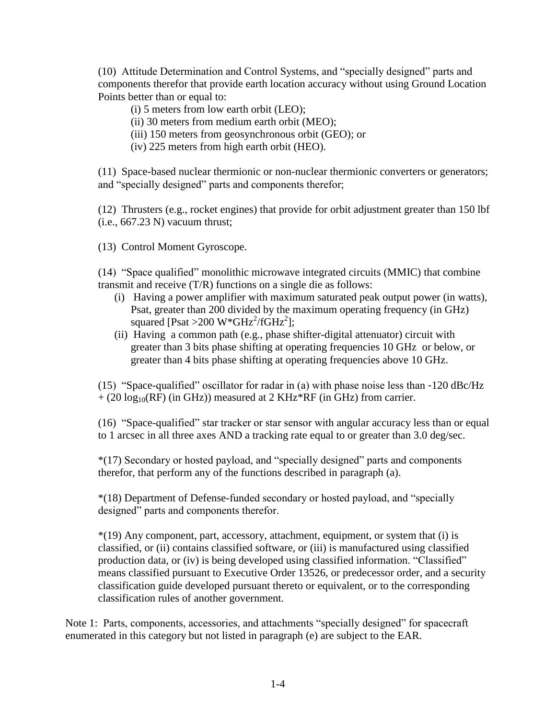(10) Attitude Determination and Control Systems, and "specially designed" parts and components therefor that provide earth location accuracy without using Ground Location Points better than or equal to:

(i) 5 meters from low earth orbit (LEO);

- (ii) 30 meters from medium earth orbit (MEO);
- (iii) 150 meters from geosynchronous orbit (GEO); or
- (iv) 225 meters from high earth orbit (HEO).

(11) Space-based nuclear thermionic or non-nuclear thermionic converters or generators; and "specially designed" parts and components therefor;

(12) Thrusters (e.g., rocket engines) that provide for orbit adjustment greater than 150 lbf (i.e., 667.23 N) vacuum thrust;

(13) Control Moment Gyroscope.

(14) "Space qualified" monolithic microwave integrated circuits (MMIC) that combine transmit and receive (T/R) functions on a single die as follows:

- (i) Having a power amplifier with maximum saturated peak output power (in watts), Psat, greater than 200 divided by the maximum operating frequency (in GHz) squared [Psat > 200 W\*GHz<sup>2</sup>/fGHz<sup>2</sup>];
- (ii) Having a common path (e.g., phase shifter-digital attenuator) circuit with greater than 3 bits phase shifting at operating frequencies 10 GHz or below, or greater than 4 bits phase shifting at operating frequencies above 10 GHz.

(15) "Space-qualified" oscillator for radar in (a) with phase noise less than  $-120$  dBc/Hz  $+$  (20 log<sub>10</sub>(RF) (in GHz)) measured at 2 KHz\*RF (in GHz) from carrier.

(16) "Space-qualified" star tracker or star sensor with angular accuracy less than or equal to 1 arcsec in all three axes AND a tracking rate equal to or greater than 3.0 deg/sec.

\*(17) Secondary or hosted payload, and "specially designed" parts and components therefor, that perform any of the functions described in paragraph (a).

\*(18) Department of Defense-funded secondary or hosted payload, and "specially designed" parts and components therefor.

\*(19) Any component, part, accessory, attachment, equipment, or system that (i) is classified, or (ii) contains classified software, or (iii) is manufactured using classified production data, or (iv) is being developed using classified information. "Classified" means classified pursuant to Executive Order 13526, or predecessor order, and a security classification guide developed pursuant thereto or equivalent, or to the corresponding classification rules of another government.

Note 1: Parts, components, accessories, and attachments "specially designed" for spacecraft enumerated in this category but not listed in paragraph (e) are subject to the EAR.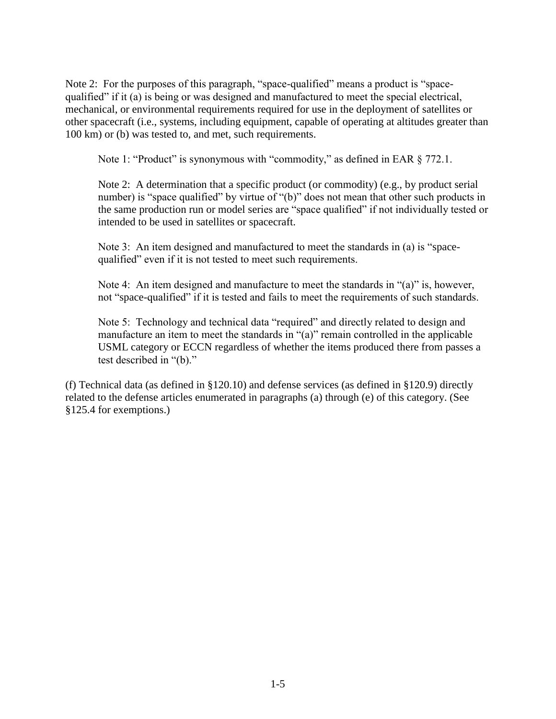Note 2: For the purposes of this paragraph, "space-qualified" means a product is "spacequalified" if it (a) is being or was designed and manufactured to meet the special electrical, mechanical, or environmental requirements required for use in the deployment of satellites or other spacecraft (i.e., systems, including equipment, capable of operating at altitudes greater than 100 km) or (b) was tested to, and met, such requirements.

Note 1: "Product" is synonymous with "commodity," as defined in EAR § 772.1.

Note 2: A determination that a specific product (or commodity) (e.g., by product serial number) is "space qualified" by virtue of "(b)" does not mean that other such products in the same production run or model series are "space qualified" if not individually tested or intended to be used in satellites or spacecraft.

Note 3: An item designed and manufactured to meet the standards in (a) is "spacequalified" even if it is not tested to meet such requirements.

Note 4: An item designed and manufacture to meet the standards in "(a)" is, however, not "space-qualified" if it is tested and fails to meet the requirements of such standards.

Note 5: Technology and technical data "required" and directly related to design and manufacture an item to meet the standards in "(a)" remain controlled in the applicable USML category or ECCN regardless of whether the items produced there from passes a test described in "(b)."

(f) Technical data (as defined in §120.10) and defense services (as defined in §120.9) directly related to the defense articles enumerated in paragraphs (a) through (e) of this category. (See §125.4 for exemptions.)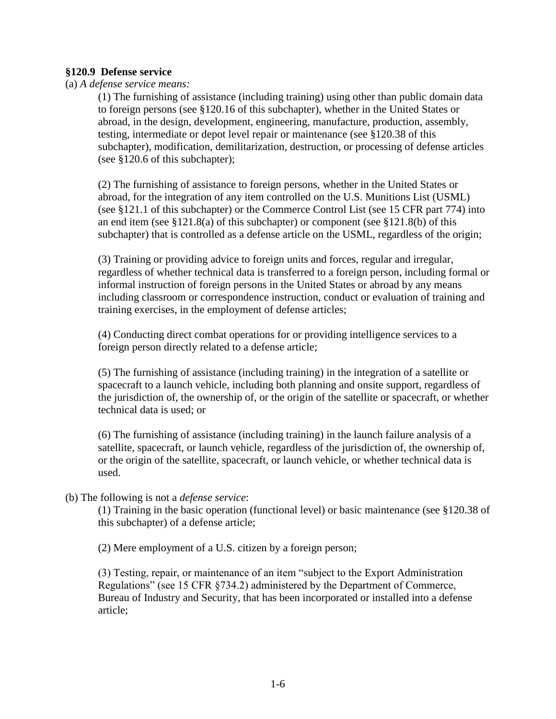#### **§120.9 Defense service**

(a) *A defense service means:*

(1) The furnishing of assistance (including training) using other than public domain data to foreign persons (see §120.16 of this subchapter), whether in the United States or abroad, in the design, development, engineering, manufacture, production, assembly, testing, intermediate or depot level repair or maintenance (see §120.38 of this subchapter), modification, demilitarization, destruction, or processing of defense articles (see §120.6 of this subchapter);

(2) The furnishing of assistance to foreign persons, whether in the United States or abroad, for the integration of any item controlled on the U.S. Munitions List (USML) (see §121.1 of this subchapter) or the Commerce Control List (see 15 CFR part 774) into an end item (see  $\S 121.8(a)$  of this subchapter) or component (see  $\S 121.8(b)$  of this subchapter) that is controlled as a defense article on the USML, regardless of the origin;

(3) Training or providing advice to foreign units and forces, regular and irregular, regardless of whether technical data is transferred to a foreign person, including formal or informal instruction of foreign persons in the United States or abroad by any means including classroom or correspondence instruction, conduct or evaluation of training and training exercises, in the employment of defense articles;

(4) Conducting direct combat operations for or providing intelligence services to a foreign person directly related to a defense article;

(5) The furnishing of assistance (including training) in the integration of a satellite or spacecraft to a launch vehicle, including both planning and onsite support, regardless of the jurisdiction of, the ownership of, or the origin of the satellite or spacecraft, or whether technical data is used; or

(6) The furnishing of assistance (including training) in the launch failure analysis of a satellite, spacecraft, or launch vehicle, regardless of the jurisdiction of, the ownership of, or the origin of the satellite, spacecraft, or launch vehicle, or whether technical data is used.

#### (b) The following is not a *defense service*:

(1) Training in the basic operation (functional level) or basic maintenance (see §120.38 of this subchapter) of a defense article;

(2) Mere employment of a U.S. citizen by a foreign person;

(3) Testing, repair, or maintenance of an item "subject to the Export Administration Regulations" (see 15 CFR §734.2) administered by the Department of Commerce, Bureau of Industry and Security, that has been incorporated or installed into a defense article;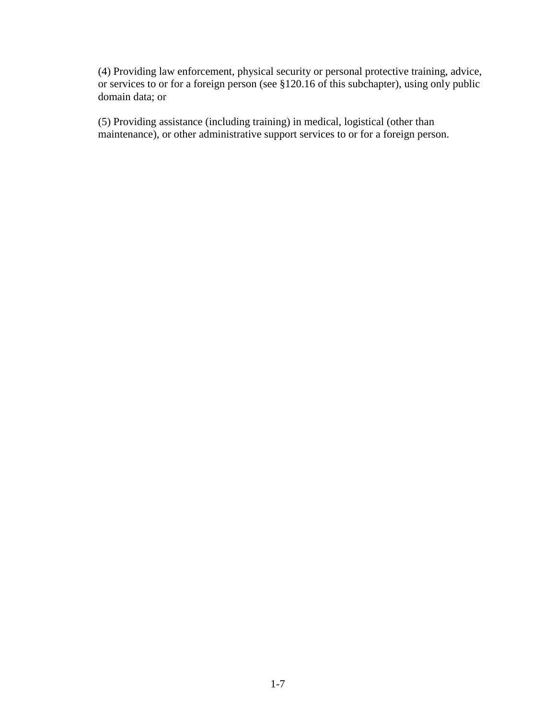(4) Providing law enforcement, physical security or personal protective training, advice, or services to or for a foreign person (see §120.16 of this subchapter), using only public domain data; or

(5) Providing assistance (including training) in medical, logistical (other than maintenance), or other administrative support services to or for a foreign person.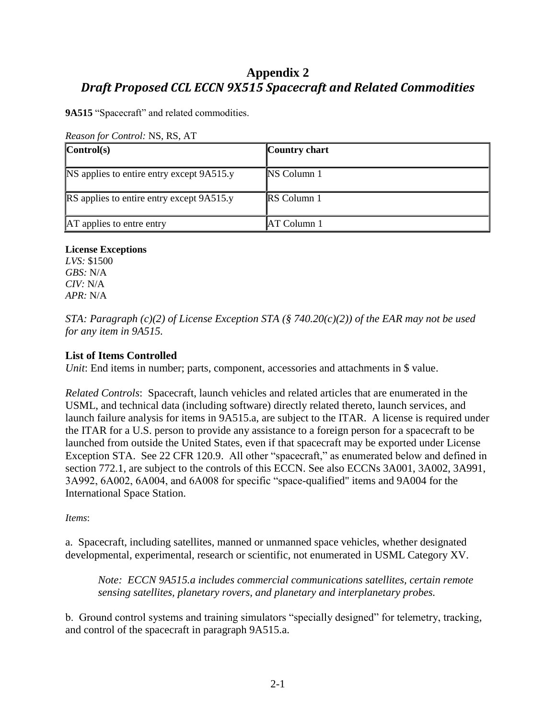## **Appendix 2** *Draft Proposed CCL ECCN 9X515 Spacecraft and Related Commodities*

**9A515** "Spacecraft" and related commodities.

| Reason for Control: NS, RS, AT |  |
|--------------------------------|--|
|--------------------------------|--|

| $\vert$ Control(s)                               | Country chart      |
|--------------------------------------------------|--------------------|
| NS applies to entire entry except 9A515.y        | <b>NS</b> Column 1 |
| <b>RS</b> applies to entire entry except 9A515.y | <b>RS</b> Column 1 |
| <b>AT</b> applies to entre entry                 | AT Column 1        |

#### **License Exceptions**

*LVS:* \$1500 *GBS:* N/A *CIV:* N/A *APR:* N/A

*STA: Paragraph (c)(2) of License Exception STA (§ 740.20(c)(2)) of the EAR may not be used for any item in 9A515.* 

#### **List of Items Controlled**

*Unit*: End items in number; parts, component, accessories and attachments in \$ value.

*Related Controls*: Spacecraft, launch vehicles and related articles that are enumerated in the USML, and technical data (including software) directly related thereto, launch services, and launch failure analysis for items in 9A515.a, are subject to the ITAR. A license is required under the ITAR for a U.S. person to provide any assistance to a foreign person for a spacecraft to be launched from outside the United States, even if that spacecraft may be exported under License Exception STA. See 22 CFR 120.9. All other "spacecraft," as enumerated below and defined in section 772.1, are subject to the controls of this ECCN. See also ECCNs 3A001, 3A002, 3A991, 3A992, 6A002, 6A004, and 6A008 for specific "space-qualified" items and 9A004 for the International Space Station.

#### *Items*:

a. Spacecraft, including satellites, manned or unmanned space vehicles, whether designated developmental, experimental, research or scientific, not enumerated in USML Category XV.

*Note: ECCN 9A515.a includes commercial communications satellites, certain remote sensing satellites, planetary rovers, and planetary and interplanetary probes.*

b. Ground control systems and training simulators "specially designed" for telemetry, tracking, and control of the spacecraft in paragraph 9A515.a.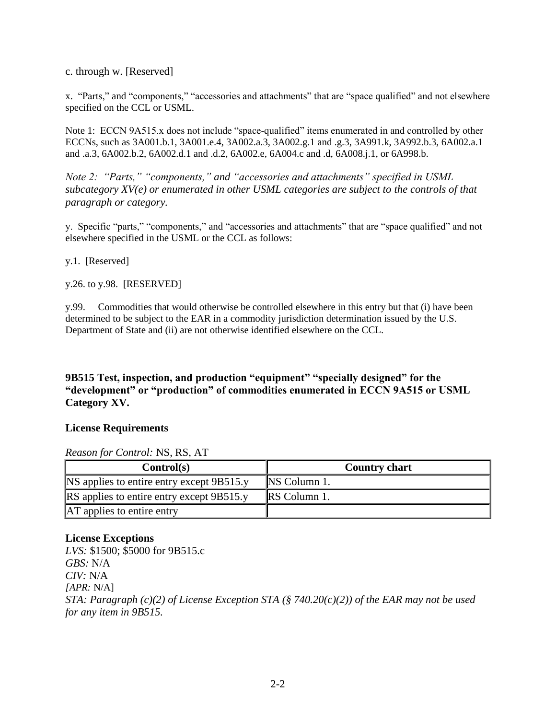c. through w. [Reserved]

x. "Parts," and "components," "accessories and attachments" that are "space qualified" and not elsewhere specified on the CCL or USML.

Note 1: ECCN 9A515.x does not include "space-qualified" items enumerated in and controlled by other ECCNs, such as 3A001.b.1, 3A001.e.4, 3A002.a.3, 3A002.g.1 and .g.3, 3A991.k, 3A992.b.3, 6A002.a.1 and .a.3, 6A002.b.2, 6A002.d.1 and .d.2, 6A002.e, 6A004.c and .d, 6A008.j.1, or 6A998.b.

*Note 2: "Parts," "components," and "accessories and attachments" specified in USML subcategory XV(e) or enumerated in other USML categories are subject to the controls of that paragraph or category.* 

y. Specific "parts," "components," and "accessories and attachments" that are "space qualified" and not elsewhere specified in the USML or the CCL as follows:

y.1. [Reserved]

y.26. to y.98. [RESERVED]

y.99. Commodities that would otherwise be controlled elsewhere in this entry but that (i) have been determined to be subject to the EAR in a commodity jurisdiction determination issued by the U.S. Department of State and (ii) are not otherwise identified elsewhere on the CCL.

#### **9B515 Test, inspection, and production "equipment" "specially designed" for the "development" or "production" of commodities enumerated in ECCN 9A515 or USML Category XV.**

#### **License Requirements**

#### *Reason for Control:* NS, RS, AT

| Control(s)                                       | <b>Country chart</b> |
|--------------------------------------------------|----------------------|
| <b>NS</b> applies to entire entry except 9B515.y | <b>NS</b> Column 1.  |
| <b>RS</b> applies to entire entry except 9B515.y | <b>RS</b> Column 1.  |
| AT applies to entire entry                       |                      |

#### **License Exceptions**

*LVS:* \$1500; \$5000 for 9B515.c *GBS:* N/A *CIV:* N/A *[APR:* N/A] *STA: Paragraph (c)(2) of License Exception STA (§ 740.20(c)(2)) of the EAR may not be used for any item in 9B515.*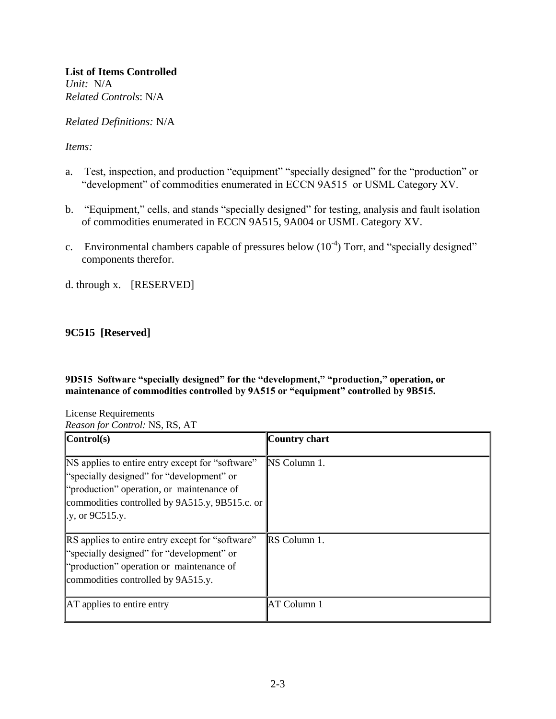*Related Definitions:* N/A

*Items:* 

- a. Test, inspection, and production "equipment" "specially designed" for the "production" or "development" of commodities enumerated in ECCN 9A515 or USML Category XV.
- b. "Equipment," cells, and stands "specially designed" for testing, analysis and fault isolation of commodities enumerated in ECCN 9A515, 9A004 or USML Category XV.
- c. Environmental chambers capable of pressures below  $(10^{-4})$  Torr, and "specially designed" components therefor.
- d. through x. [RESERVED]

### **9C515 [Reserved]**

**9D515 Software "specially designed" for the "development," "production," operation, or maintenance of commodities controlled by 9A515 or "equipment" controlled by 9B515.**

License Requirements *Reason for Control:* NS, RS, AT

| $\vert$ Control(s)                                                                                                                                                                                                      | Country chart |
|-------------------------------------------------------------------------------------------------------------------------------------------------------------------------------------------------------------------------|---------------|
| NS applies to entire entry except for "software"<br>"specially designed" for "development" or<br>"production" operation, or maintenance of<br>commodities controlled by 9A515.y, 9B515.c. or<br>$\vert$ .y, or 9C515.y. | NS Column 1.  |
| RS applies to entire entry except for "software"<br>"specially designed" for "development" or<br>"production" operation or maintenance of<br>commodities controlled by 9A515.y.                                         | RS Column 1.  |
| <b>AT</b> applies to entire entry                                                                                                                                                                                       | AT Column 1   |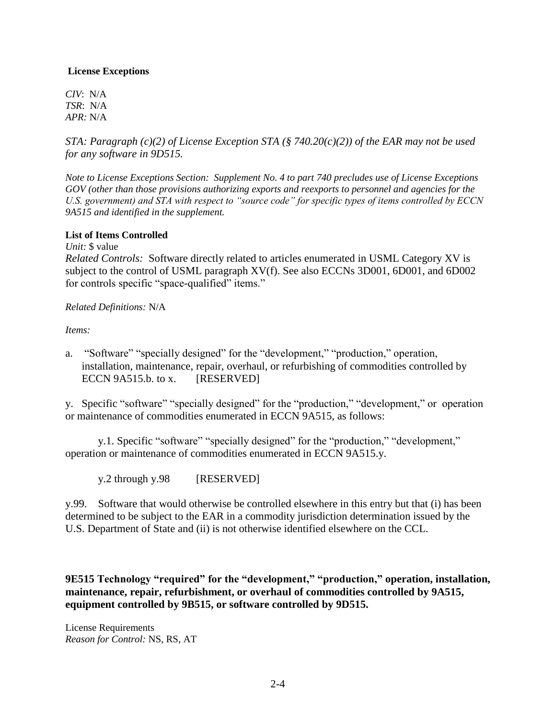#### **License Exceptions**

*CIV*: N/A *TSR*: N/A *APR:* N/A

*STA: Paragraph (c)(2) of License Exception STA (§ 740.20(c)(2)) of the EAR may not be used for any software in 9D515.*

*Note to License Exceptions Section: Supplement No. 4 to part 740 precludes use of License Exceptions GOV (other than those provisions authorizing exports and reexports to personnel and agencies for the U.S. government) and STA with respect to "source code" for specific types of items controlled by ECCN 9A515 and identified in the supplement.* 

#### **List of Items Controlled**

*Unit:* \$ value

*Related Controls:* Software directly related to articles enumerated in USML Category XV is subject to the control of USML paragraph XV(f). See also ECCNs 3D001, 6D001, and 6D002 for controls specific "space-qualified" items."

#### *Related Definitions:* N/A

*Items:* 

a. "Software" "specially designed" for the "development," "production," operation, installation, maintenance, repair, overhaul, or refurbishing of commodities controlled by ECCN 9A515.b. to x. [RESERVED]

y. Specific "software" "specially designed" for the "production," "development," or operation or maintenance of commodities enumerated in ECCN 9A515, as follows:

y.1. Specific "software" "specially designed" for the "production," "development," operation or maintenance of commodities enumerated in ECCN 9A515.y.

y.2 through y.98 [RESERVED]

y.99. Software that would otherwise be controlled elsewhere in this entry but that (i) has been determined to be subject to the EAR in a commodity jurisdiction determination issued by the U.S. Department of State and (ii) is not otherwise identified elsewhere on the CCL.

**9E515 Technology "required" for the "development," "production," operation, installation, maintenance, repair, refurbishment, or overhaul of commodities controlled by 9A515, equipment controlled by 9B515, or software controlled by 9D515.**

License Requirements *Reason for Control:* NS, RS, AT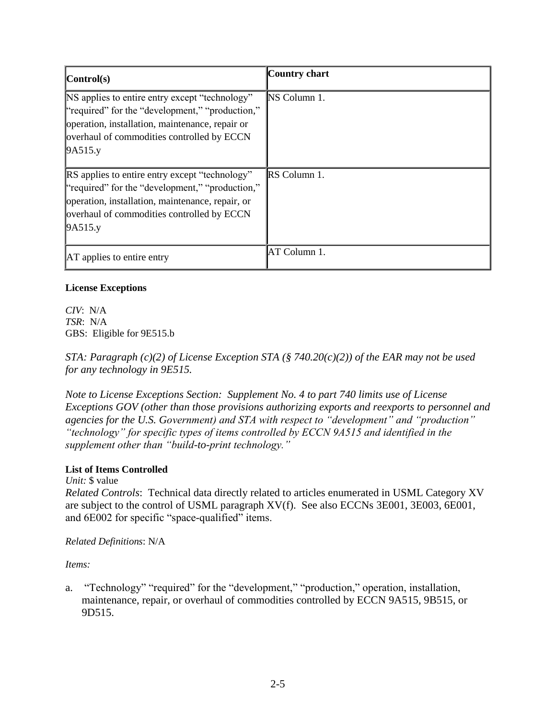| $\mathbf{Control}(\mathbf{s})$                                                                                                                                                                                        | Country chart       |
|-----------------------------------------------------------------------------------------------------------------------------------------------------------------------------------------------------------------------|---------------------|
| NS applies to entire entry except "technology"<br>"required" for the "development," "production,"<br>operation, installation, maintenance, repair or<br>overhaul of commodities controlled by ECCN<br>9A515.y         | <b>NS Column 1.</b> |
| <b>RS</b> applies to entire entry except "technology"<br>"required" for the "development," "production,"<br>operation, installation, maintenance, repair, or<br>overhaul of commodities controlled by ECCN<br>9A515.y | RS Column 1.        |
| <b>AT</b> applies to entire entry                                                                                                                                                                                     | AT Column 1.        |

#### **License Exceptions**

*CIV*: N/A *TSR*: N/A GBS: Eligible for 9E515.b

*STA: Paragraph (c)(2) of License Exception STA (§ 740.20(c)(2)) of the EAR may not be used for any technology in 9E515.* 

*Note to License Exceptions Section: Supplement No. 4 to part 740 limits use of License Exceptions GOV (other than those provisions authorizing exports and reexports to personnel and agencies for the U.S. Government) and STA with respect to "development" and "production" "technology" for specific types of items controlled by ECCN 9A515 and identified in the supplement other than "build-to-print technology."* 

### **List of Items Controlled**

*Unit:* \$ value

*Related Controls*:Technical data directly related to articles enumerated in USML Category XV are subject to the control of USML paragraph XV(f). See also ECCNs 3E001, 3E003, 6E001, and 6E002 for specific "space-qualified" items.

### *Related Definitions*: N/A

*Items:* 

a. "Technology" "required" for the "development," "production," operation, installation, maintenance, repair, or overhaul of commodities controlled by ECCN 9A515, 9B515, or 9D515.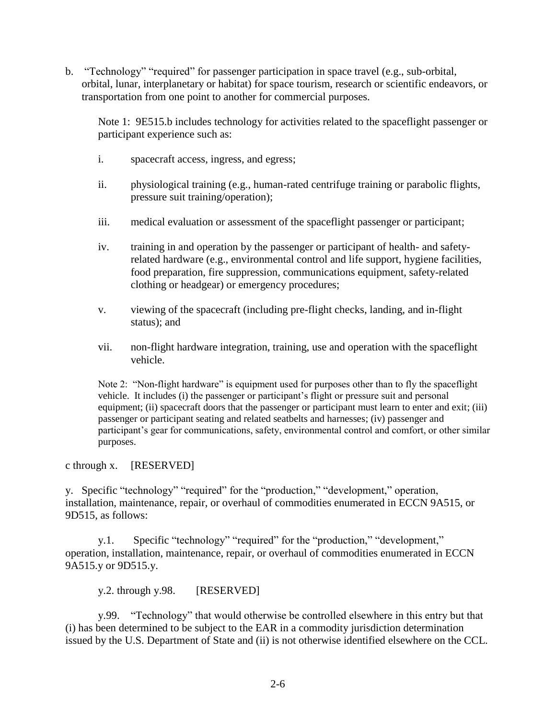b. "Technology" "required" for passenger participation in space travel (e.g., sub-orbital, orbital, lunar, interplanetary or habitat) for space tourism, research or scientific endeavors, or transportation from one point to another for commercial purposes.

Note 1: 9E515.b includes technology for activities related to the spaceflight passenger or participant experience such as:

- i. spacecraft access, ingress, and egress;
- ii. physiological training (e.g., human-rated centrifuge training or parabolic flights, pressure suit training/operation);
- iii. medical evaluation or assessment of the spaceflight passenger or participant;
- iv. training in and operation by the passenger or participant of health- and safetyrelated hardware (e.g., environmental control and life support, hygiene facilities, food preparation, fire suppression, communications equipment, safety-related clothing or headgear) or emergency procedures;
- v. viewing of the spacecraft (including pre-flight checks, landing, and in-flight status); and
- vii. non-flight hardware integration, training, use and operation with the spaceflight vehicle.

Note 2: "Non-flight hardware" is equipment used for purposes other than to fly the spaceflight vehicle. It includes (i) the passenger or participant's flight or pressure suit and personal equipment; (ii) spacecraft doors that the passenger or participant must learn to enter and exit; (iii) passenger or participant seating and related seatbelts and harnesses; (iv) passenger and participant's gear for communications, safety, environmental control and comfort, or other similar purposes.

#### c through x. [RESERVED]

y. Specific "technology" "required" for the "production," "development," operation, installation, maintenance, repair, or overhaul of commodities enumerated in ECCN 9A515, or 9D515, as follows:

y.1. Specific "technology" "required" for the "production," "development," operation, installation, maintenance, repair, or overhaul of commodities enumerated in ECCN 9A515.y or 9D515.y.

y.2. through y.98. [RESERVED]

y.99. "Technology" that would otherwise be controlled elsewhere in this entry but that (i) has been determined to be subject to the EAR in a commodity jurisdiction determination issued by the U.S. Department of State and (ii) is not otherwise identified elsewhere on the CCL.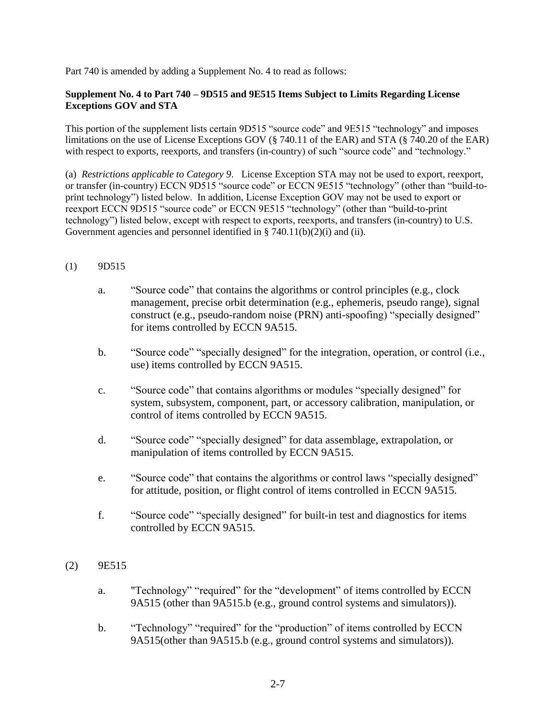Part 740 is amended by adding a Supplement No. 4 to read as follows:

#### **Supplement No. 4 to Part 740 – 9D515 and 9E515 Items Subject to Limits Regarding License Exceptions GOV and STA**

This portion of the supplement lists certain 9D515 "source code" and 9E515 "technology" and imposes limitations on the use of License Exceptions GOV (§ 740.11 of the EAR) and STA (§ 740.20 of the EAR) with respect to exports, reexports, and transfers (in-country) of such "source code" and "technology."

(a) *Restrictions applicable to Category 9*. License Exception STA may not be used to export, reexport, or transfer (in-country) ECCN 9D515 "source code" or ECCN 9E515 "technology" (other than "build-toprint technology") listed below. In addition, License Exception GOV may not be used to export or reexport ECCN 9D515 "source code" or ECCN 9E515 "technology" (other than "build-to-print technology") listed below, except with respect to exports, reexports, and transfers (in-country) to U.S. Government agencies and personnel identified in § 740.11(b)(2)(i) and (ii).

#### (1) 9D515

- a. "Source code" that contains the algorithms or control principles (e.g., clock management, precise orbit determination (e.g., ephemeris, pseudo range), signal construct (e.g., pseudo-random noise (PRN) anti-spoofing) "specially designed" for items controlled by ECCN 9A515.
- b. "Source code" "specially designed" for the integration, operation, or control (i.e., use) items controlled by ECCN 9A515.
- c. "Source code" that contains algorithms or modules "specially designed" for system, subsystem, component, part, or accessory calibration, manipulation, or control of items controlled by ECCN 9A515.
- d. "Source code" "specially designed" for data assemblage, extrapolation, or manipulation of items controlled by ECCN 9A515.
- e. "Source code" that contains the algorithms or control laws "specially designed" for attitude, position, or flight control of items controlled in ECCN 9A515.
- f. "Source code" "specially designed" for built-in test and diagnostics for items controlled by ECCN 9A515.

#### (2) 9E515

- a. "Technology" "required" for the "development" of items controlled by ECCN 9A515 (other than 9A515.b (e.g., ground control systems and simulators)).
- b. "Technology" "required" for the "production" of items controlled by ECCN 9A515(other than 9A515.b (e.g., ground control systems and simulators)).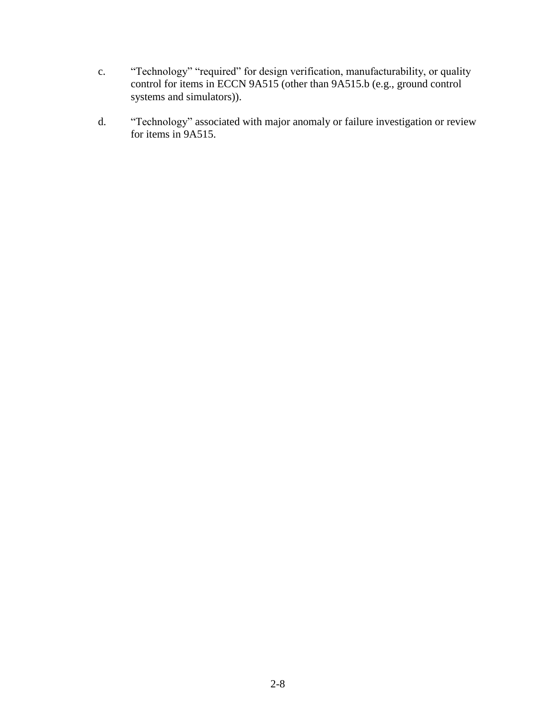- c. "Technology" "required" for design verification, manufacturability, or quality control for items in ECCN 9A515 (other than 9A515.b (e.g., ground control systems and simulators)).
- d. "Technology" associated with major anomaly or failure investigation or review for items in 9A515.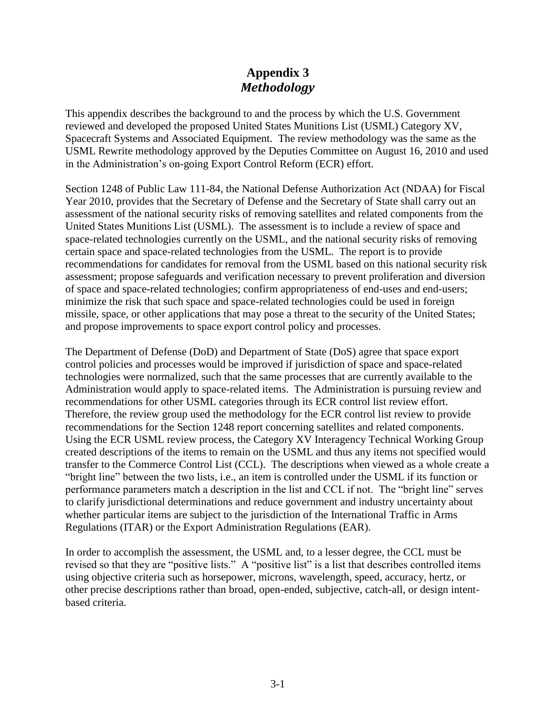## **Appendix 3** *Methodology*

This appendix describes the background to and the process by which the U.S. Government reviewed and developed the proposed United States Munitions List (USML) Category XV, Spacecraft Systems and Associated Equipment. The review methodology was the same as the USML Rewrite methodology approved by the Deputies Committee on August 16, 2010 and used in the Administration's on-going Export Control Reform (ECR) effort.

Section 1248 of Public Law 111-84, the National Defense Authorization Act (NDAA) for Fiscal Year 2010, provides that the Secretary of Defense and the Secretary of State shall carry out an assessment of the national security risks of removing satellites and related components from the United States Munitions List (USML). The assessment is to include a review of space and space-related technologies currently on the USML, and the national security risks of removing certain space and space-related technologies from the USML. The report is to provide recommendations for candidates for removal from the USML based on this national security risk assessment; propose safeguards and verification necessary to prevent proliferation and diversion of space and space-related technologies; confirm appropriateness of end-uses and end-users; minimize the risk that such space and space-related technologies could be used in foreign missile, space, or other applications that may pose a threat to the security of the United States; and propose improvements to space export control policy and processes.

The Department of Defense (DoD) and Department of State (DoS) agree that space export control policies and processes would be improved if jurisdiction of space and space-related technologies were normalized, such that the same processes that are currently available to the Administration would apply to space-related items. The Administration is pursuing review and recommendations for other USML categories through its ECR control list review effort. Therefore, the review group used the methodology for the ECR control list review to provide recommendations for the Section 1248 report concerning satellites and related components. Using the ECR USML review process, the Category XV Interagency Technical Working Group created descriptions of the items to remain on the USML and thus any items not specified would transfer to the Commerce Control List (CCL). The descriptions when viewed as a whole create a "bright line" between the two lists, i.e., an item is controlled under the USML if its function or performance parameters match a description in the list and CCL if not. The "bright line" serves to clarify jurisdictional determinations and reduce government and industry uncertainty about whether particular items are subject to the jurisdiction of the International Traffic in Arms Regulations (ITAR) or the Export Administration Regulations (EAR).

In order to accomplish the assessment, the USML and, to a lesser degree, the CCL must be revised so that they are "positive lists." A "positive list" is a list that describes controlled items using objective criteria such as horsepower, microns, wavelength, speed, accuracy, hertz, or other precise descriptions rather than broad, open-ended, subjective, catch-all, or design intentbased criteria.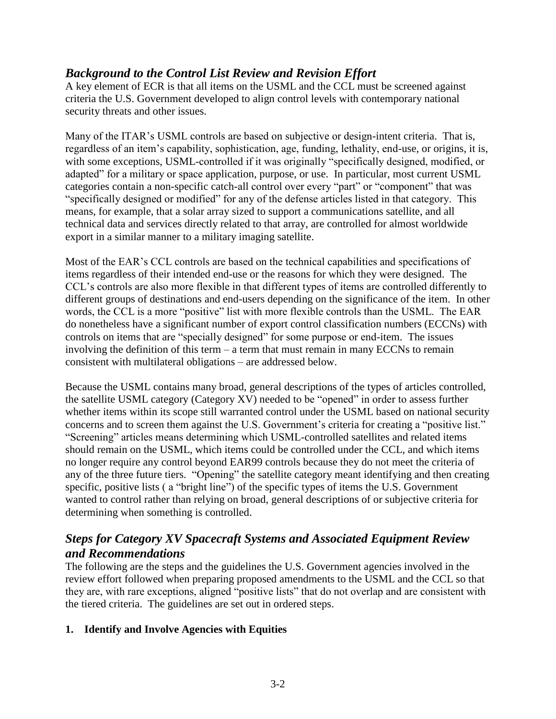### *Background to the Control List Review and Revision Effort*

A key element of ECR is that all items on the USML and the CCL must be screened against criteria the U.S. Government developed to align control levels with contemporary national security threats and other issues.

Many of the ITAR's USML controls are based on subjective or design-intent criteria. That is, regardless of an item's capability, sophistication, age, funding, lethality, end-use, or origins, it is, with some exceptions, USML-controlled if it was originally "specifically designed, modified, or adapted" for a military or space application, purpose, or use. In particular, most current USML categories contain a non-specific catch-all control over every "part" or "component" that was "specifically designed or modified" for any of the defense articles listed in that category. This means, for example, that a solar array sized to support a communications satellite, and all technical data and services directly related to that array, are controlled for almost worldwide export in a similar manner to a military imaging satellite.

Most of the EAR's CCL controls are based on the technical capabilities and specifications of items regardless of their intended end-use or the reasons for which they were designed. The CCL's controls are also more flexible in that different types of items are controlled differently to different groups of destinations and end-users depending on the significance of the item. In other words, the CCL is a more "positive" list with more flexible controls than the USML. The EAR do nonetheless have a significant number of export control classification numbers (ECCNs) with controls on items that are "specially designed" for some purpose or end-item. The issues involving the definition of this term – a term that must remain in many ECCNs to remain consistent with multilateral obligations – are addressed below.

Because the USML contains many broad, general descriptions of the types of articles controlled, the satellite USML category (Category XV) needed to be "opened" in order to assess further whether items within its scope still warranted control under the USML based on national security concerns and to screen them against the U.S. Government's criteria for creating a "positive list." "Screening" articles means determining which USML-controlled satellites and related items should remain on the USML, which items could be controlled under the CCL, and which items no longer require any control beyond EAR99 controls because they do not meet the criteria of any of the three future tiers. "Opening" the satellite category meant identifying and then creating specific, positive lists ( a "bright line") of the specific types of items the U.S. Government wanted to control rather than relying on broad, general descriptions of or subjective criteria for determining when something is controlled.

## *Steps for Category XV Spacecraft Systems and Associated Equipment Review and Recommendations*

The following are the steps and the guidelines the U.S. Government agencies involved in the review effort followed when preparing proposed amendments to the USML and the CCL so that they are, with rare exceptions, aligned "positive lists" that do not overlap and are consistent with the tiered criteria. The guidelines are set out in ordered steps.

### **1. Identify and Involve Agencies with Equities**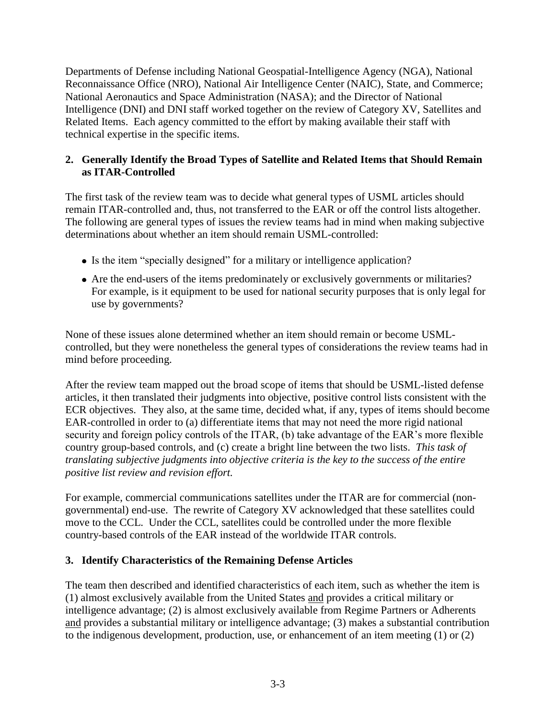Departments of Defense including National Geospatial-Intelligence Agency (NGA), National Reconnaissance Office (NRO), National Air Intelligence Center (NAIC), State, and Commerce; National Aeronautics and Space Administration (NASA); and the Director of National Intelligence (DNI) and DNI staff worked together on the review of Category XV, Satellites and Related Items. Each agency committed to the effort by making available their staff with technical expertise in the specific items.

### **2. Generally Identify the Broad Types of Satellite and Related Items that Should Remain as ITAR-Controlled**

The first task of the review team was to decide what general types of USML articles should remain ITAR-controlled and, thus, not transferred to the EAR or off the control lists altogether. The following are general types of issues the review teams had in mind when making subjective determinations about whether an item should remain USML-controlled:

- Is the item "specially designed" for a military or intelligence application?
- Are the end-users of the items predominately or exclusively governments or militaries? For example, is it equipment to be used for national security purposes that is only legal for use by governments?

None of these issues alone determined whether an item should remain or become USMLcontrolled, but they were nonetheless the general types of considerations the review teams had in mind before proceeding.

After the review team mapped out the broad scope of items that should be USML-listed defense articles, it then translated their judgments into objective, positive control lists consistent with the ECR objectives. They also, at the same time, decided what, if any, types of items should become EAR-controlled in order to (a) differentiate items that may not need the more rigid national security and foreign policy controls of the ITAR, (b) take advantage of the EAR's more flexible country group-based controls, and (c) create a bright line between the two lists. *This task of translating subjective judgments into objective criteria is the key to the success of the entire positive list review and revision effort.* 

For example, commercial communications satellites under the ITAR are for commercial (nongovernmental) end-use. The rewrite of Category XV acknowledged that these satellites could move to the CCL. Under the CCL, satellites could be controlled under the more flexible country-based controls of the EAR instead of the worldwide ITAR controls.

### **3. Identify Characteristics of the Remaining Defense Articles**

The team then described and identified characteristics of each item, such as whether the item is (1) almost exclusively available from the United States and provides a critical military or intelligence advantage; (2) is almost exclusively available from Regime Partners or Adherents and provides a substantial military or intelligence advantage; (3) makes a substantial contribution to the indigenous development, production, use, or enhancement of an item meeting  $(1)$  or  $(2)$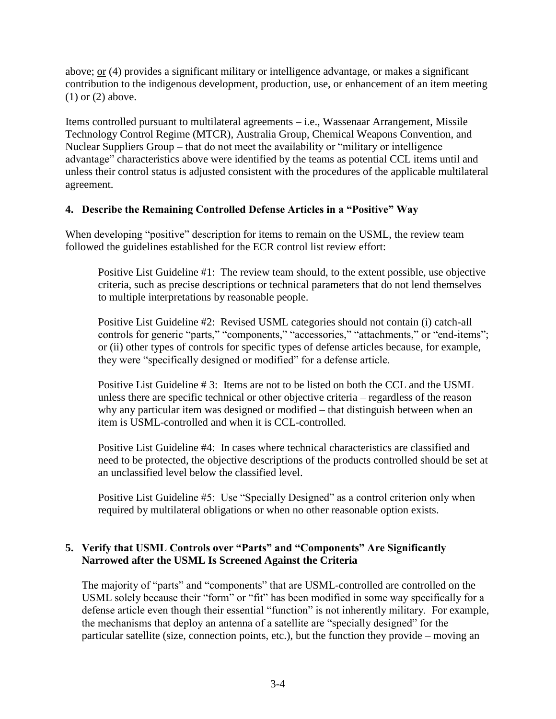above; or (4) provides a significant military or intelligence advantage, or makes a significant contribution to the indigenous development, production, use, or enhancement of an item meeting (1) or (2) above.

Items controlled pursuant to multilateral agreements – i.e., Wassenaar Arrangement, Missile Technology Control Regime (MTCR), Australia Group, Chemical Weapons Convention, and Nuclear Suppliers Group – that do not meet the availability or "military or intelligence advantage" characteristics above were identified by the teams as potential CCL items until and unless their control status is adjusted consistent with the procedures of the applicable multilateral agreement.

### **4. Describe the Remaining Controlled Defense Articles in a "Positive" Way**

When developing "positive" description for items to remain on the USML, the review team followed the guidelines established for the ECR control list review effort:

Positive List Guideline #1: The review team should, to the extent possible, use objective criteria, such as precise descriptions or technical parameters that do not lend themselves to multiple interpretations by reasonable people.

Positive List Guideline #2: Revised USML categories should not contain (i) catch-all controls for generic "parts," "components," "accessories," "attachments," or "end-items"; or (ii) other types of controls for specific types of defense articles because, for example, they were "specifically designed or modified" for a defense article.

Positive List Guideline # 3: Items are not to be listed on both the CCL and the USML unless there are specific technical or other objective criteria – regardless of the reason why any particular item was designed or modified – that distinguish between when an item is USML-controlled and when it is CCL-controlled.

Positive List Guideline #4: In cases where technical characteristics are classified and need to be protected, the objective descriptions of the products controlled should be set at an unclassified level below the classified level.

Positive List Guideline #5: Use "Specially Designed" as a control criterion only when required by multilateral obligations or when no other reasonable option exists.

### **5. Verify that USML Controls over "Parts" and "Components" Are Significantly Narrowed after the USML Is Screened Against the Criteria**

The majority of "parts" and "components" that are USML-controlled are controlled on the USML solely because their "form" or "fit" has been modified in some way specifically for a defense article even though their essential "function" is not inherently military. For example, the mechanisms that deploy an antenna of a satellite are "specially designed" for the particular satellite (size, connection points, etc.), but the function they provide – moving an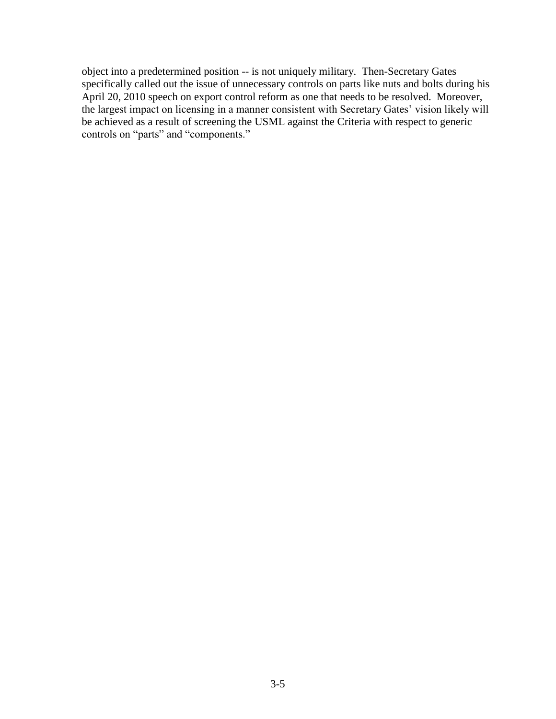object into a predetermined position -- is not uniquely military. Then-Secretary Gates specifically called out the issue of unnecessary controls on parts like nuts and bolts during his April 20, 2010 speech on export control reform as one that needs to be resolved. Moreover, the largest impact on licensing in a manner consistent with Secretary Gates' vision likely will be achieved as a result of screening the USML against the Criteria with respect to generic controls on "parts" and "components."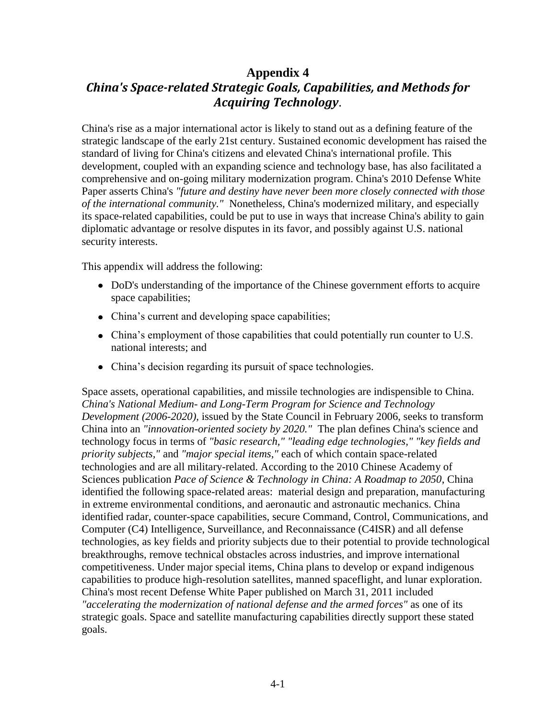## **Appendix 4** *China's Space-related Strategic Goals, Capabilities, and Methods for Acquiring Technology*.

China's rise as a major international actor is likely to stand out as a defining feature of the strategic landscape of the early 21st century. Sustained economic development has raised the standard of living for China's citizens and elevated China's international profile. This development, coupled with an expanding science and technology base, has also facilitated a comprehensive and on-going military modernization program. China's 2010 Defense White Paper asserts China's *"future and destiny have never been more closely connected with those of the international community."* Nonetheless, China's modernized military, and especially its space-related capabilities, could be put to use in ways that increase China's ability to gain diplomatic advantage or resolve disputes in its favor, and possibly against U.S. national security interests.

This appendix will address the following:

- DoD's understanding of the importance of the Chinese government efforts to acquire space capabilities;
- China's current and developing space capabilities;
- China's employment of those capabilities that could potentially run counter to U.S. national interests; and
- China's decision regarding its pursuit of space technologies.

Space assets, operational capabilities, and missile technologies are indispensible to China. *China's National Medium- and Long-Term Program for Science and Technology Development (2006-2020),* issued by the State Council in February 2006, seeks to transform China into an *"innovation-oriented society by 2020."* The plan defines China's science and technology focus in terms of *"basic research," "leading edge technologies," "key fields and priority subjects,"* and *"major special items,"* each of which contain space-related technologies and are all military-related. According to the 2010 Chinese Academy of Sciences publication *Pace of Science & Technology in China: A Roadmap to 2050*, China identified the following space-related areas: material design and preparation, manufacturing in extreme environmental conditions, and aeronautic and astronautic mechanics. China identified radar, counter-space capabilities, secure Command, Control, Communications, and Computer (C4) Intelligence, Surveillance, and Reconnaissance (C4ISR) and all defense technologies, as key fields and priority subjects due to their potential to provide technological breakthroughs, remove technical obstacles across industries, and improve international competitiveness. Under major special items, China plans to develop or expand indigenous capabilities to produce high-resolution satellites, manned spaceflight, and lunar exploration. China's most recent Defense White Paper published on March 31, 2011 included *"accelerating the modernization of national defense and the armed forces"* as one of its strategic goals. Space and satellite manufacturing capabilities directly support these stated goals.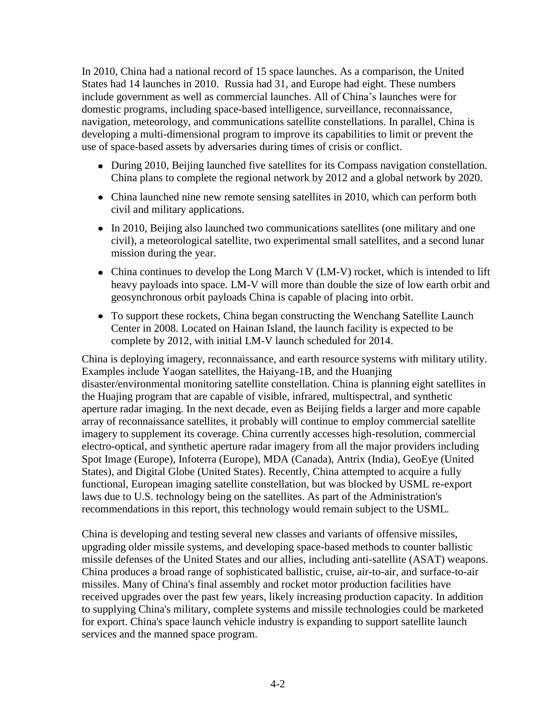In 2010, China had a national record of 15 space launches. As a comparison, the United States had 14 launches in 2010. Russia had 31, and Europe had eight. These numbers include government as well as commercial launches. All of China's launches were for domestic programs, including space-based intelligence, surveillance, reconnaissance, navigation, meteorology, and communications satellite constellations. In parallel, China is developing a multi-dimensional program to improve its capabilities to limit or prevent the use of space-based assets by adversaries during times of crisis or conflict.

- During 2010, Beijing launched five satellites for its Compass navigation constellation. China plans to complete the regional network by 2012 and a global network by 2020.
- China launched nine new remote sensing satellites in 2010, which can perform both civil and military applications.
- In 2010, Beijing also launched two communications satellites (one military and one civil), a meteorological satellite, two experimental small satellites, and a second lunar mission during the year.
- China continues to develop the Long March V (LM-V) rocket, which is intended to lift heavy payloads into space. LM-V will more than double the size of low earth orbit and geosynchronous orbit payloads China is capable of placing into orbit.
- To support these rockets, China began constructing the Wenchang Satellite Launch Center in 2008. Located on Hainan Island, the launch facility is expected to be complete by 2012, with initial LM-V launch scheduled for 2014.

China is deploying imagery, reconnaissance, and earth resource systems with military utility. Examples include Yaogan satellites, the Haiyang-1B, and the Huanjing disaster/environmental monitoring satellite constellation. China is planning eight satellites in the Huajing program that are capable of visible, infrared, multispectral, and synthetic aperture radar imaging. In the next decade, even as Beijing fields a larger and more capable array of reconnaissance satellites, it probably will continue to employ commercial satellite imagery to supplement its coverage. China currently accesses high-resolution, commercial electro-optical, and synthetic aperture radar imagery from all the major providers including Spot Image (Europe), Infoterra (Europe), MDA (Canada), Antrix (India), GeoEye (United States), and Digital Globe (United States). Recently, China attempted to acquire a fully functional, European imaging satellite constellation, but was blocked by USML re-export laws due to U.S. technology being on the satellites. As part of the Administration's recommendations in this report, this technology would remain subject to the USML.

China is developing and testing several new classes and variants of offensive missiles, upgrading older missile systems, and developing space-based methods to counter ballistic missile defenses of the United States and our allies, including anti-satellite (ASAT) weapons. China produces a broad range of sophisticated ballistic, cruise, air-to-air, and surface-to-air missiles. Many of China's final assembly and rocket motor production facilities have received upgrades over the past few years, likely increasing production capacity. In addition to supplying China's military, complete systems and missile technologies could be marketed for export. China's space launch vehicle industry is expanding to support satellite launch services and the manned space program.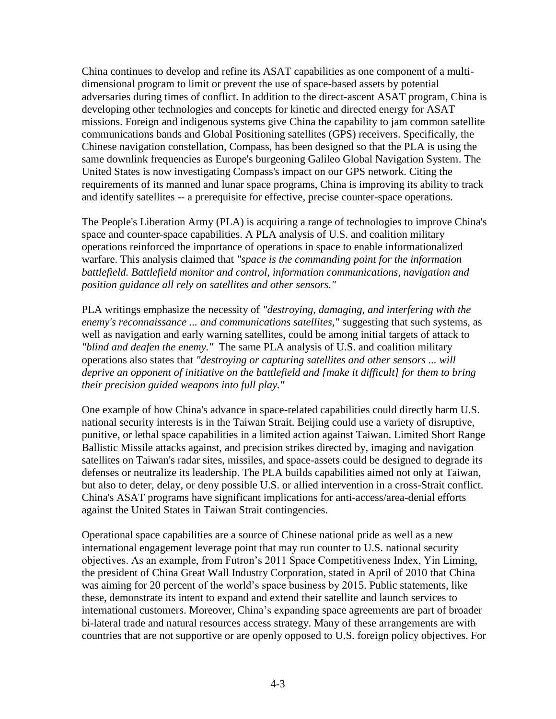China continues to develop and refine its ASAT capabilities as one component of a multidimensional program to limit or prevent the use of space-based assets by potential adversaries during times of conflict. In addition to the direct-ascent ASAT program, China is developing other technologies and concepts for kinetic and directed energy for ASAT missions. Foreign and indigenous systems give China the capability to jam common satellite communications bands and Global Positioning satellites (GPS) receivers. Specifically, the Chinese navigation constellation, Compass, has been designed so that the PLA is using the same downlink frequencies as Europe's burgeoning Galileo Global Navigation System. The United States is now investigating Compass's impact on our GPS network. Citing the requirements of its manned and lunar space programs, China is improving its ability to track and identify satellites -- a prerequisite for effective, precise counter-space operations.

The People's Liberation Army (PLA) is acquiring a range of technologies to improve China's space and counter-space capabilities. A PLA analysis of U.S. and coalition military operations reinforced the importance of operations in space to enable informationalized warfare. This analysis claimed that *"space is the commanding point for the information battlefield. Battlefield monitor and control, information communications, navigation and position guidance all rely on satellites and other sensors."*

PLA writings emphasize the necessity of *"destroying, damaging, and interfering with the enemy's reconnaissance ... and communications satellites,"* suggesting that such systems, as well as navigation and early warning satellites, could be among initial targets of attack to *"blind and deafen the enemy."* The same PLA analysis of U.S. and coalition military operations also states that *"destroying or capturing satellites and other sensors ... will deprive an opponent of initiative on the battlefield and [make it difficult] for them to bring their precision guided weapons into full play."*

One example of how China's advance in space-related capabilities could directly harm U.S. national security interests is in the Taiwan Strait. Beijing could use a variety of disruptive, punitive, or lethal space capabilities in a limited action against Taiwan. Limited Short Range Ballistic Missile attacks against, and precision strikes directed by, imaging and navigation satellites on Taiwan's radar sites, missiles, and space-assets could be designed to degrade its defenses or neutralize its leadership. The PLA builds capabilities aimed not only at Taiwan, but also to deter, delay, or deny possible U.S. or allied intervention in a cross-Strait conflict. China's ASAT programs have significant implications for anti-access/area-denial efforts against the United States in Taiwan Strait contingencies.

Operational space capabilities are a source of Chinese national pride as well as a new international engagement leverage point that may run counter to U.S. national security objectives. As an example, from Futron's 2011 Space Competitiveness Index, Yin Liming, the president of China Great Wall Industry Corporation, stated in April of 2010 that China was aiming for 20 percent of the world's space business by 2015. Public statements, like these, demonstrate its intent to expand and extend their satellite and launch services to international customers. Moreover, China's expanding space agreements are part of broader bi-lateral trade and natural resources access strategy. Many of these arrangements are with countries that are not supportive or are openly opposed to U.S. foreign policy objectives. For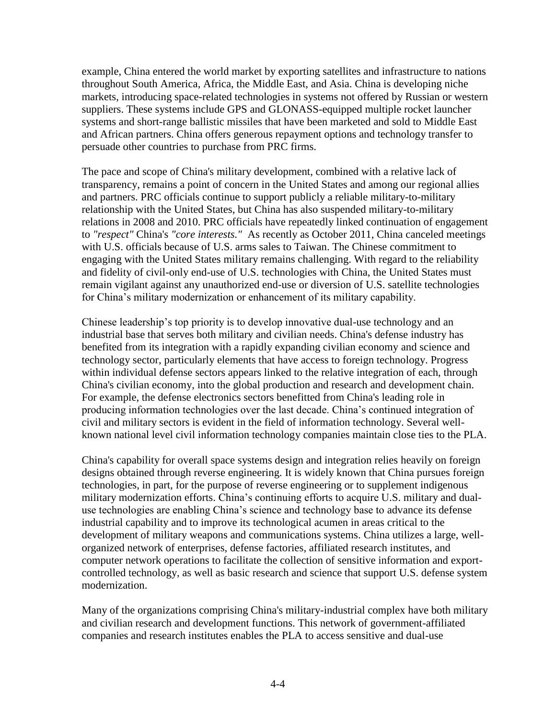example, China entered the world market by exporting satellites and infrastructure to nations throughout South America, Africa, the Middle East, and Asia. China is developing niche markets, introducing space-related technologies in systems not offered by Russian or western suppliers. These systems include GPS and GLONASS-equipped multiple rocket launcher systems and short-range ballistic missiles that have been marketed and sold to Middle East and African partners. China offers generous repayment options and technology transfer to persuade other countries to purchase from PRC firms.

The pace and scope of China's military development, combined with a relative lack of transparency, remains a point of concern in the United States and among our regional allies and partners. PRC officials continue to support publicly a reliable military-to-military relationship with the United States, but China has also suspended military-to-military relations in 2008 and 2010. PRC officials have repeatedly linked continuation of engagement to *"respect"* China's *"core interests."* As recently as October 2011, China canceled meetings with U.S. officials because of U.S. arms sales to Taiwan. The Chinese commitment to engaging with the United States military remains challenging. With regard to the reliability and fidelity of civil-only end-use of U.S. technologies with China, the United States must remain vigilant against any unauthorized end-use or diversion of U.S. satellite technologies for China's military modernization or enhancement of its military capability.

Chinese leadership's top priority is to develop innovative dual-use technology and an industrial base that serves both military and civilian needs. China's defense industry has benefited from its integration with a rapidly expanding civilian economy and science and technology sector, particularly elements that have access to foreign technology. Progress within individual defense sectors appears linked to the relative integration of each, through China's civilian economy, into the global production and research and development chain. For example, the defense electronics sectors benefitted from China's leading role in producing information technologies over the last decade. China's continued integration of civil and military sectors is evident in the field of information technology. Several wellknown national level civil information technology companies maintain close ties to the PLA.

China's capability for overall space systems design and integration relies heavily on foreign designs obtained through reverse engineering. It is widely known that China pursues foreign technologies, in part, for the purpose of reverse engineering or to supplement indigenous military modernization efforts. China's continuing efforts to acquire U.S. military and dualuse technologies are enabling China's science and technology base to advance its defense industrial capability and to improve its technological acumen in areas critical to the development of military weapons and communications systems. China utilizes a large, wellorganized network of enterprises, defense factories, affiliated research institutes, and computer network operations to facilitate the collection of sensitive information and exportcontrolled technology, as well as basic research and science that support U.S. defense system modernization.

Many of the organizations comprising China's military-industrial complex have both military and civilian research and development functions. This network of government-affiliated companies and research institutes enables the PLA to access sensitive and dual-use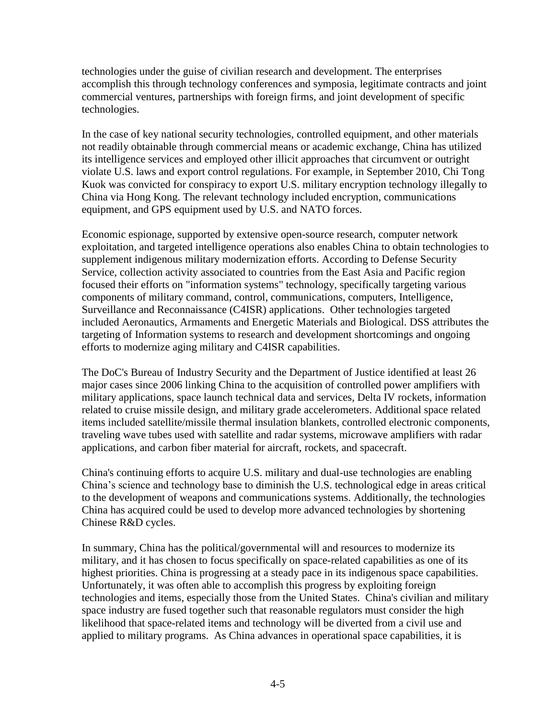technologies under the guise of civilian research and development. The enterprises accomplish this through technology conferences and symposia, legitimate contracts and joint commercial ventures, partnerships with foreign firms, and joint development of specific technologies.

In the case of key national security technologies, controlled equipment, and other materials not readily obtainable through commercial means or academic exchange, China has utilized its intelligence services and employed other illicit approaches that circumvent or outright violate U.S. laws and export control regulations. For example, in September 2010, Chi Tong Kuok was convicted for conspiracy to export U.S. military encryption technology illegally to China via Hong Kong. The relevant technology included encryption, communications equipment, and GPS equipment used by U.S. and NATO forces.

Economic espionage, supported by extensive open-source research, computer network exploitation, and targeted intelligence operations also enables China to obtain technologies to supplement indigenous military modernization efforts. According to Defense Security Service, collection activity associated to countries from the East Asia and Pacific region focused their efforts on "information systems" technology, specifically targeting various components of military command, control, communications, computers, Intelligence, Surveillance and Reconnaissance (C4ISR) applications. Other technologies targeted included Aeronautics, Armaments and Energetic Materials and Biological. DSS attributes the targeting of Information systems to research and development shortcomings and ongoing efforts to modernize aging military and C4ISR capabilities.

The DoC's Bureau of Industry Security and the Department of Justice identified at least 26 major cases since 2006 linking China to the acquisition of controlled power amplifiers with military applications, space launch technical data and services, Delta IV rockets, information related to cruise missile design, and military grade accelerometers. Additional space related items included satellite/missile thermal insulation blankets, controlled electronic components, traveling wave tubes used with satellite and radar systems, microwave amplifiers with radar applications, and carbon fiber material for aircraft, rockets, and spacecraft.

China's continuing efforts to acquire U.S. military and dual-use technologies are enabling China's science and technology base to diminish the U.S. technological edge in areas critical to the development of weapons and communications systems. Additionally, the technologies China has acquired could be used to develop more advanced technologies by shortening Chinese R&D cycles.

In summary, China has the political/governmental will and resources to modernize its military, and it has chosen to focus specifically on space-related capabilities as one of its highest priorities. China is progressing at a steady pace in its indigenous space capabilities. Unfortunately, it was often able to accomplish this progress by exploiting foreign technologies and items, especially those from the United States. China's civilian and military space industry are fused together such that reasonable regulators must consider the high likelihood that space-related items and technology will be diverted from a civil use and applied to military programs. As China advances in operational space capabilities, it is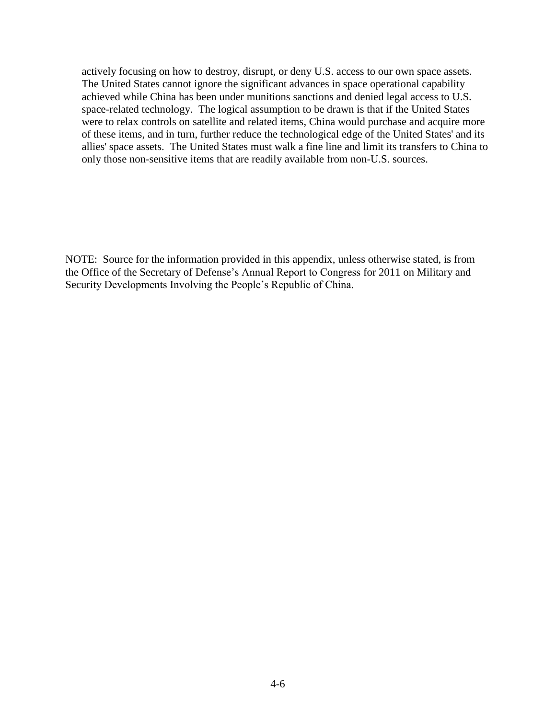actively focusing on how to destroy, disrupt, or deny U.S. access to our own space assets. The United States cannot ignore the significant advances in space operational capability achieved while China has been under munitions sanctions and denied legal access to U.S. space-related technology. The logical assumption to be drawn is that if the United States were to relax controls on satellite and related items, China would purchase and acquire more of these items, and in turn, further reduce the technological edge of the United States' and its allies' space assets. The United States must walk a fine line and limit its transfers to China to only those non-sensitive items that are readily available from non-U.S. sources.

NOTE: Source for the information provided in this appendix, unless otherwise stated, is from the Office of the Secretary of Defense's Annual Report to Congress for 2011 on Military and Security Developments Involving the People's Republic of China.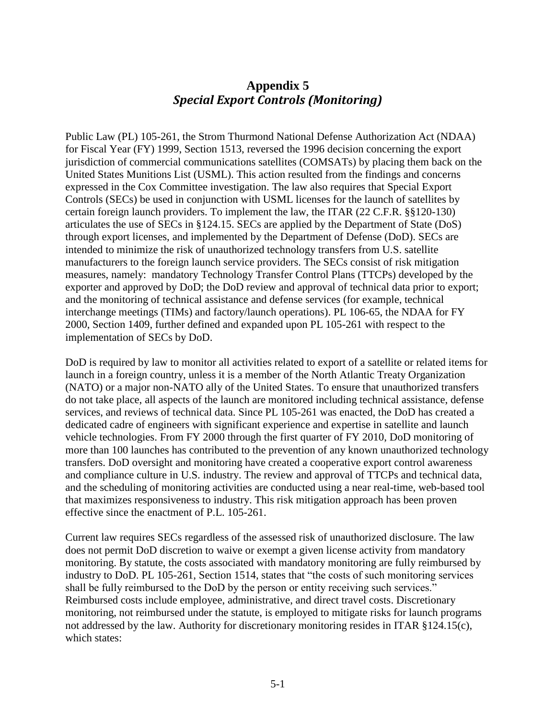## **Appendix 5** *Special Export Controls (Monitoring)*

Public Law (PL) 105-261, the Strom Thurmond National Defense Authorization Act (NDAA) for Fiscal Year (FY) 1999, Section 1513, reversed the 1996 decision concerning the export jurisdiction of commercial communications satellites (COMSATs) by placing them back on the United States Munitions List (USML). This action resulted from the findings and concerns expressed in the Cox Committee investigation. The law also requires that Special Export Controls (SECs) be used in conjunction with USML licenses for the launch of satellites by certain foreign launch providers. To implement the law, the ITAR (22 C.F.R. §§120-130) articulates the use of SECs in §124.15. SECs are applied by the Department of State (DoS) through export licenses, and implemented by the Department of Defense (DoD). SECs are intended to minimize the risk of unauthorized technology transfers from U.S. satellite manufacturers to the foreign launch service providers. The SECs consist of risk mitigation measures, namely: mandatory Technology Transfer Control Plans (TTCPs) developed by the exporter and approved by DoD; the DoD review and approval of technical data prior to export; and the monitoring of technical assistance and defense services (for example, technical interchange meetings (TIMs) and factory/launch operations). PL 106-65, the NDAA for FY 2000, Section 1409, further defined and expanded upon PL 105-261 with respect to the implementation of SECs by DoD.

DoD is required by law to monitor all activities related to export of a satellite or related items for launch in a foreign country, unless it is a member of the North Atlantic Treaty Organization (NATO) or a major non-NATO ally of the United States. To ensure that unauthorized transfers do not take place, all aspects of the launch are monitored including technical assistance, defense services, and reviews of technical data. Since PL 105-261 was enacted, the DoD has created a dedicated cadre of engineers with significant experience and expertise in satellite and launch vehicle technologies. From FY 2000 through the first quarter of FY 2010, DoD monitoring of more than 100 launches has contributed to the prevention of any known unauthorized technology transfers. DoD oversight and monitoring have created a cooperative export control awareness and compliance culture in U.S. industry. The review and approval of TTCPs and technical data, and the scheduling of monitoring activities are conducted using a near real-time, web-based tool that maximizes responsiveness to industry. This risk mitigation approach has been proven effective since the enactment of P.L. 105-261.

Current law requires SECs regardless of the assessed risk of unauthorized disclosure. The law does not permit DoD discretion to waive or exempt a given license activity from mandatory monitoring. By statute, the costs associated with mandatory monitoring are fully reimbursed by industry to DoD. PL 105-261, Section 1514, states that "the costs of such monitoring services shall be fully reimbursed to the DoD by the person or entity receiving such services." Reimbursed costs include employee, administrative, and direct travel costs. Discretionary monitoring, not reimbursed under the statute, is employed to mitigate risks for launch programs not addressed by the law. Authority for discretionary monitoring resides in ITAR §124.15(c), which states: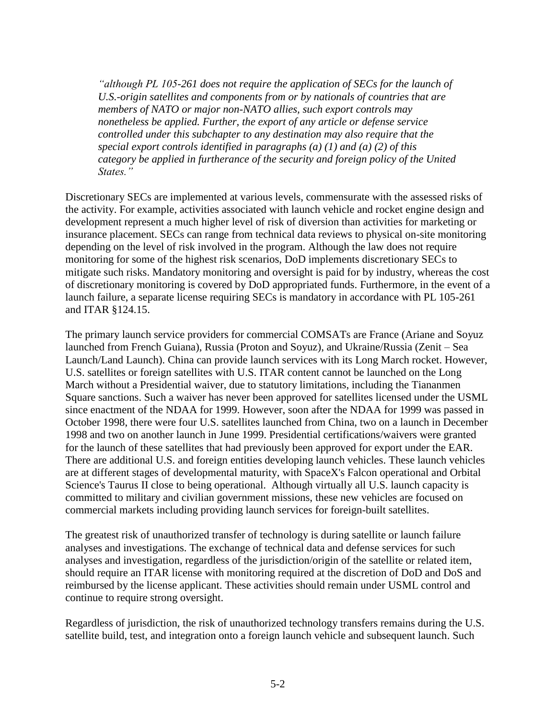*although PL 105-261 does not require the application of SECs for the launch of U.S.-origin satellites and components from or by nationals of countries that are members of NATO or major non-NATO allies, such export controls may nonetheless be applied. Further, the export of any article or defense service controlled under this subchapter to any destination may also require that the special export controls identified in paragraphs (a) (1) and (a) (2) of this category be applied in furtherance of the security and foreign policy of the United States."* 

Discretionary SECs are implemented at various levels, commensurate with the assessed risks of the activity. For example, activities associated with launch vehicle and rocket engine design and development represent a much higher level of risk of diversion than activities for marketing or insurance placement. SECs can range from technical data reviews to physical on-site monitoring depending on the level of risk involved in the program. Although the law does not require monitoring for some of the highest risk scenarios, DoD implements discretionary SECs to mitigate such risks. Mandatory monitoring and oversight is paid for by industry, whereas the cost of discretionary monitoring is covered by DoD appropriated funds. Furthermore, in the event of a launch failure, a separate license requiring SECs is mandatory in accordance with PL 105-261 and ITAR §124.15.

The primary launch service providers for commercial COMSATs are France (Ariane and Soyuz launched from French Guiana), Russia (Proton and Soyuz), and Ukraine/Russia (Zenit – Sea Launch/Land Launch). China can provide launch services with its Long March rocket. However, U.S. satellites or foreign satellites with U.S. ITAR content cannot be launched on the Long March without a Presidential waiver, due to statutory limitations, including the Tiananmen Square sanctions. Such a waiver has never been approved for satellites licensed under the USML since enactment of the NDAA for 1999. However, soon after the NDAA for 1999 was passed in October 1998, there were four U.S. satellites launched from China, two on a launch in December 1998 and two on another launch in June 1999. Presidential certifications/waivers were granted for the launch of these satellites that had previously been approved for export under the EAR. There are additional U.S. and foreign entities developing launch vehicles. These launch vehicles are at different stages of developmental maturity, with SpaceX's Falcon operational and Orbital Science's Taurus II close to being operational. Although virtually all U.S. launch capacity is committed to military and civilian government missions, these new vehicles are focused on commercial markets including providing launch services for foreign-built satellites.

The greatest risk of unauthorized transfer of technology is during satellite or launch failure analyses and investigations. The exchange of technical data and defense services for such analyses and investigation, regardless of the jurisdiction/origin of the satellite or related item, should require an ITAR license with monitoring required at the discretion of DoD and DoS and reimbursed by the license applicant. These activities should remain under USML control and continue to require strong oversight.

Regardless of jurisdiction, the risk of unauthorized technology transfers remains during the U.S. satellite build, test, and integration onto a foreign launch vehicle and subsequent launch. Such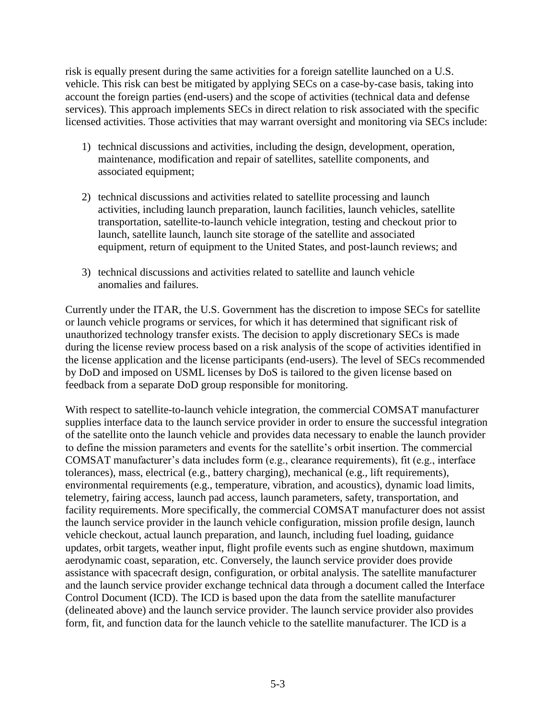risk is equally present during the same activities for a foreign satellite launched on a U.S. vehicle. This risk can best be mitigated by applying SECs on a case-by-case basis, taking into account the foreign parties (end-users) and the scope of activities (technical data and defense services). This approach implements SECs in direct relation to risk associated with the specific licensed activities. Those activities that may warrant oversight and monitoring via SECs include:

- 1) technical discussions and activities, including the design, development, operation, maintenance, modification and repair of satellites, satellite components, and associated equipment;
- 2) technical discussions and activities related to satellite processing and launch activities, including launch preparation, launch facilities, launch vehicles, satellite transportation, satellite-to-launch vehicle integration, testing and checkout prior to launch, satellite launch, launch site storage of the satellite and associated equipment, return of equipment to the United States, and post-launch reviews; and
- 3) technical discussions and activities related to satellite and launch vehicle anomalies and failures.

Currently under the ITAR, the U.S. Government has the discretion to impose SECs for satellite or launch vehicle programs or services, for which it has determined that significant risk of unauthorized technology transfer exists. The decision to apply discretionary SECs is made during the license review process based on a risk analysis of the scope of activities identified in the license application and the license participants (end-users). The level of SECs recommended by DoD and imposed on USML licenses by DoS is tailored to the given license based on feedback from a separate DoD group responsible for monitoring.

With respect to satellite-to-launch vehicle integration, the commercial COMSAT manufacturer supplies interface data to the launch service provider in order to ensure the successful integration of the satellite onto the launch vehicle and provides data necessary to enable the launch provider to define the mission parameters and events for the satellite's orbit insertion. The commercial COMSAT manufacturer's data includes form (e.g., clearance requirements), fit (e.g., interface tolerances), mass, electrical (e.g., battery charging), mechanical (e.g., lift requirements), environmental requirements (e.g., temperature, vibration, and acoustics), dynamic load limits, telemetry, fairing access, launch pad access, launch parameters, safety, transportation, and facility requirements. More specifically, the commercial COMSAT manufacturer does not assist the launch service provider in the launch vehicle configuration, mission profile design, launch vehicle checkout, actual launch preparation, and launch, including fuel loading, guidance updates, orbit targets, weather input, flight profile events such as engine shutdown, maximum aerodynamic coast, separation, etc. Conversely, the launch service provider does provide assistance with spacecraft design, configuration, or orbital analysis. The satellite manufacturer and the launch service provider exchange technical data through a document called the Interface Control Document (ICD). The ICD is based upon the data from the satellite manufacturer (delineated above) and the launch service provider. The launch service provider also provides form, fit, and function data for the launch vehicle to the satellite manufacturer. The ICD is a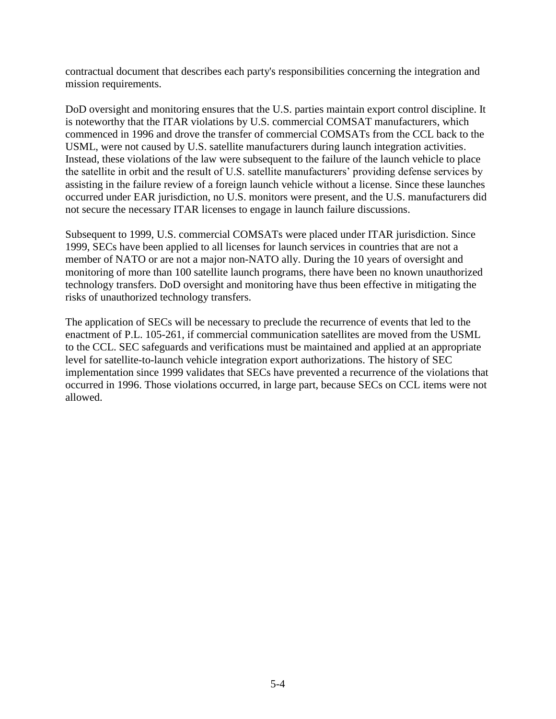contractual document that describes each party's responsibilities concerning the integration and mission requirements.

DoD oversight and monitoring ensures that the U.S. parties maintain export control discipline. It is noteworthy that the ITAR violations by U.S. commercial COMSAT manufacturers, which commenced in 1996 and drove the transfer of commercial COMSATs from the CCL back to the USML, were not caused by U.S. satellite manufacturers during launch integration activities. Instead, these violations of the law were subsequent to the failure of the launch vehicle to place the satellite in orbit and the result of U.S. satellite manufacturers' providing defense services by assisting in the failure review of a foreign launch vehicle without a license. Since these launches occurred under EAR jurisdiction, no U.S. monitors were present, and the U.S. manufacturers did not secure the necessary ITAR licenses to engage in launch failure discussions.

Subsequent to 1999, U.S. commercial COMSATs were placed under ITAR jurisdiction. Since 1999, SECs have been applied to all licenses for launch services in countries that are not a member of NATO or are not a major non-NATO ally. During the 10 years of oversight and monitoring of more than 100 satellite launch programs, there have been no known unauthorized technology transfers. DoD oversight and monitoring have thus been effective in mitigating the risks of unauthorized technology transfers.

The application of SECs will be necessary to preclude the recurrence of events that led to the enactment of P.L. 105-261, if commercial communication satellites are moved from the USML to the CCL. SEC safeguards and verifications must be maintained and applied at an appropriate level for satellite-to-launch vehicle integration export authorizations. The history of SEC implementation since 1999 validates that SECs have prevented a recurrence of the violations that occurred in 1996. Those violations occurred, in large part, because SECs on CCL items were not allowed.